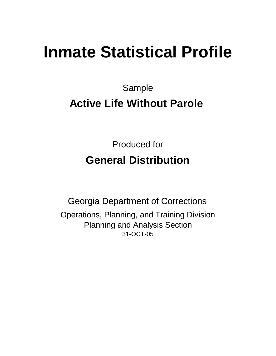# **Inmate Statistical Profile**

Sample **Active Life Without Parole** 

> Produced for **General Distribution**

31-OCT-05 Georgia Department of Corrections Operations, Planning, and Training Division Planning and Analysis Section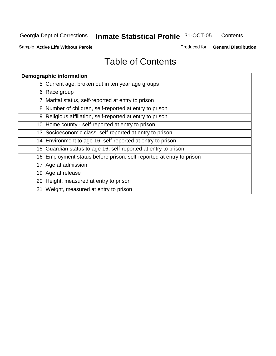**Contents** 

Sample **Active Life Without Parole** 

Produced for **General Distribution**

| <b>Demographic information</b>                                       |
|----------------------------------------------------------------------|
| 5 Current age, broken out in ten year age groups                     |
| 6 Race group                                                         |
| 7 Marital status, self-reported at entry to prison                   |
| 8 Number of children, self-reported at entry to prison               |
| 9 Religious affiliation, self-reported at entry to prison            |
| 10 Home county - self-reported at entry to prison                    |
| 13 Socioeconomic class, self-reported at entry to prison             |
| 14 Environment to age 16, self-reported at entry to prison           |
| 15 Guardian status to age 16, self-reported at entry to prison       |
| 16 Employment status before prison, self-reported at entry to prison |
| 17 Age at admission                                                  |
| 19 Age at release                                                    |
| 20 Height, measured at entry to prison                               |
| 21 Weight, measured at entry to prison                               |
|                                                                      |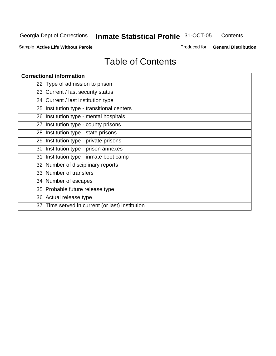**Contents** 

Sample **Active Life Without Parole** 

Produced for **General Distribution**

| <b>Correctional information</b>                 |
|-------------------------------------------------|
| 22 Type of admission to prison                  |
| 23 Current / last security status               |
| 24 Current / last institution type              |
| 25 Institution type - transitional centers      |
| 26 Institution type - mental hospitals          |
| 27 Institution type - county prisons            |
| 28 Institution type - state prisons             |
| 29 Institution type - private prisons           |
| 30 Institution type - prison annexes            |
| 31 Institution type - inmate boot camp          |
| 32 Number of disciplinary reports               |
| 33 Number of transfers                          |
| 34 Number of escapes                            |
| 35 Probable future release type                 |
| 36 Actual release type                          |
| 37 Time served in current (or last) institution |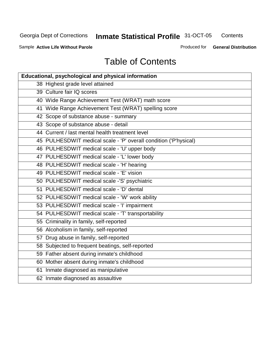**Contents** 

Sample **Active Life Without Parole** 

Produced for **General Distribution**

| Educational, psychological and physical information              |
|------------------------------------------------------------------|
| 38 Highest grade level attained                                  |
| 39 Culture fair IQ scores                                        |
| 40 Wide Range Achievement Test (WRAT) math score                 |
| 41 Wide Range Achievement Test (WRAT) spelling score             |
| 42 Scope of substance abuse - summary                            |
| 43 Scope of substance abuse - detail                             |
| 44 Current / last mental health treatment level                  |
| 45 PULHESDWIT medical scale - 'P' overall condition ('P'hysical) |
| 46 PULHESDWIT medical scale - 'U' upper body                     |
| 47 PULHESDWIT medical scale - 'L' lower body                     |
| 48 PULHESDWIT medical scale - 'H' hearing                        |
| 49 PULHESDWIT medical scale - 'E' vision                         |
| 50 PULHESDWIT medical scale -'S' psychiatric                     |
| 51 PULHESDWIT medical scale - 'D' dental                         |
| 52 PULHESDWIT medical scale - 'W' work ability                   |
| 53 PULHESDWIT medical scale - 'I' impairment                     |
| 54 PULHESDWIT medical scale - 'T' transportability               |
| 55 Criminality in family, self-reported                          |
| 56 Alcoholism in family, self-reported                           |
| 57 Drug abuse in family, self-reported                           |
| 58 Subjected to frequent beatings, self-reported                 |
| 59 Father absent during inmate's childhood                       |
| 60 Mother absent during inmate's childhood                       |
| 61 Inmate diagnosed as manipulative                              |
| 62 Inmate diagnosed as assaultive                                |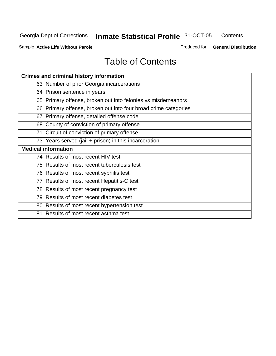**Contents** 

Sample **Active Life Without Parole** 

Produced for **General Distribution**

| <b>Crimes and criminal history information</b>                  |
|-----------------------------------------------------------------|
| 63 Number of prior Georgia incarcerations                       |
| 64 Prison sentence in years                                     |
| 65 Primary offense, broken out into felonies vs misdemeanors    |
| 66 Primary offense, broken out into four broad crime categories |
| 67 Primary offense, detailed offense code                       |
| 68 County of conviction of primary offense                      |
| 71 Circuit of conviction of primary offense                     |
| 73 Years served (jail + prison) in this incarceration           |
|                                                                 |
| <b>Medical information</b>                                      |
| 74 Results of most recent HIV test                              |
| 75 Results of most recent tuberculosis test                     |
| 76 Results of most recent syphilis test                         |
| 77 Results of most recent Hepatitis-C test                      |
| 78 Results of most recent pregnancy test                        |
| 79 Results of most recent diabetes test                         |
| 80 Results of most recent hypertension test                     |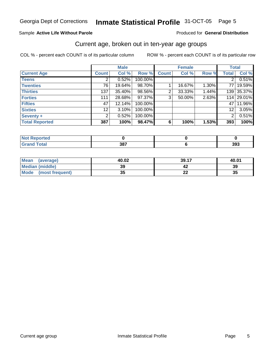#### Sample **Active Life Without Parole**

#### Produced for **General Distribution**

### Current age, broken out in ten-year age groups

|                       |                   | <b>Male</b> |         |              | <b>Female</b> |       | <b>Total</b>   |            |
|-----------------------|-------------------|-------------|---------|--------------|---------------|-------|----------------|------------|
| <b>Current Age</b>    | <b>Count</b>      | Col %       | Row %   | <b>Count</b> | Col %         | Row % | <b>Total</b>   | Col %      |
| <b>Teens</b>          |                   | 0.52%       | 100.00% |              |               |       | 2 <sub>1</sub> | 0.51%      |
| <b>Twenties</b>       | 76                | 19.64%      | 98.70%  |              | 16.67%        | 1.30% | 77 I           | 19.59%     |
| <b>Thirties</b>       | 137               | 35.40%      | 98.56%  | 2            | 33.33%        | 1.44% |                | 139 35.37% |
| <b>Forties</b>        | 111               | 28.68%      | 97.37%  | 3            | 50.00%        | 2.63% |                | 114 29.01% |
| <b>Fifties</b>        | 47                | 12.14%      | 100.00% |              |               |       | 47 I           | 11.96%     |
| <b>Sixties</b>        | $12 \overline{ }$ | 3.10%       | 100.00% |              |               |       | 12             | 3.05%      |
| Seventy +             | 2                 | 0.52%       | 100.00% |              |               |       | $\overline{2}$ | 0.51%      |
| <b>Total Reported</b> | 387               | 100%        | 98.47%  | 6            | 100%          | 1.53% | 393            | 100%       |

| التقاسية والمسائد | 207 | 393 |
|-------------------|-----|-----|

| Mean<br>(average)       | 40.02 | 39.17 | 40.01 |
|-------------------------|-------|-------|-------|
| <b>Median (middle)</b>  | 39    |       | 39    |
| Mode<br>(most frequent) | 35    | LL    | 35    |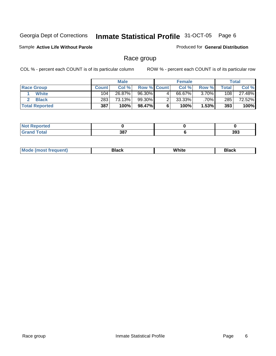Sample **Active Life Without Parole** 

Produced for **General Distribution**

### Race group

|                       |              | <b>Male</b> |                    |   | <b>Female</b> |          |       | <b>Total</b> |
|-----------------------|--------------|-------------|--------------------|---|---------------|----------|-------|--------------|
| <b>Race Group</b>     | <b>Count</b> | Col %       | <b>Row % Count</b> |   | Col %         | Row %    | Total | Col %        |
| White                 | 104          | $26.87\%$   | 96.30%             | 4 | 66.67%        | $3.70\%$ | 108   | 27.48%       |
| <b>Black</b>          | 283          | 73.13%      | 99.30%             |   | $33.33\%$     | .70%     | 285   | 72.52%       |
| <b>Total Reported</b> | 387          | 100%        | 98.47%             |   | 100%          | 1.53%    | 393   | 100%         |

| rtea<br>.<br>.    |     |     |
|-------------------|-----|-----|
| $\sim$ . $\sim$ . | 387 | 393 |

| M<br>__ |                                 |  |
|---------|---------------------------------|--|
|         | M'<br>.<br>$\sim$ $\sim$ $\sim$ |  |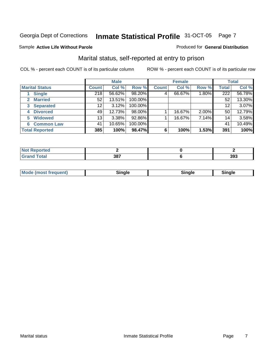#### Sample **Active Life Without Parole**

#### Produced for **General Distribution**

### Marital status, self-reported at entry to prison

|                                  |              | <b>Male</b> |         |              | <b>Female</b> |       |              | <b>Total</b> |
|----------------------------------|--------------|-------------|---------|--------------|---------------|-------|--------------|--------------|
| <b>Marital Status</b>            | <b>Count</b> | Col %       | Row %   | <b>Count</b> | Col %         | Row % | <b>Total</b> | Col %        |
| <b>Single</b>                    | 218          | 56.62%      | 98.20%  | 4            | 66.67%        | 1.80% | 222          | 56.78%       |
| <b>Married</b>                   | 52           | 13.51%      | 100.00% |              |               |       | 52           | 13.30%       |
| <b>Separated</b><br>$\mathbf{3}$ | 12           | 3.12%       | 100.00% |              |               |       | 12           | 3.07%        |
| <b>Divorced</b><br>4             | 49           | 12.73%      | 98.00%  |              | 16.67%        | 2.00% | 50           | 12.79%       |
| <b>Widowed</b><br>5              | 13           | 3.38%       | 92.86%  |              | 16.67%        | 7.14% | 14           | 3.58%        |
| <b>Common Law</b><br>6           | 41           | 10.65%      | 100.00% |              |               |       | 41           | 10.49%       |
| <b>Total Reported</b>            | 385          | 100%        | 98.47%  | 6            | 100%          | 1.53% | 391          | 100%         |

| and a series<br>тес. |             |     |
|----------------------|-------------|-----|
| ---                  | 207<br>JU L | 393 |

| <b>Mode</b><br>uent).<br>en<br><b>IMOST IF</b> | Time ale<br>sınale | ືnαle∴ | Sinale |  |
|------------------------------------------------|--------------------|--------|--------|--|
|------------------------------------------------|--------------------|--------|--------|--|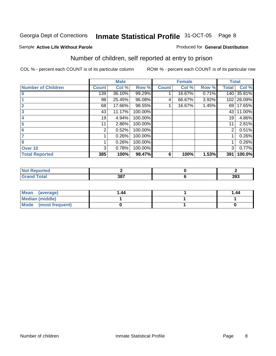#### Sample **Active Life Without Parole**

#### Produced for **General Distribution**

### Number of children, self reported at entry to prison

|                           |              | <b>Male</b> |         |              | <b>Female</b> |       |              | <b>Total</b> |
|---------------------------|--------------|-------------|---------|--------------|---------------|-------|--------------|--------------|
| <b>Number of Children</b> | <b>Count</b> | Col %       | Row %   | <b>Count</b> | Col %         | Row % | <b>Total</b> | Col %        |
| $\bf{0}$                  | 139          | 36.10%      | 99.29%  |              | 16.67%        | 0.71% | 140          | 35.81%       |
|                           | 98           | 25.45%      | 96.08%  | 4            | 66.67%        | 3.92% | 102          | 26.09%       |
| $\overline{2}$            | 68           | 17.66%      | 98.55%  |              | 16.67%        | 1.45% | 69           | 17.65%       |
| 3                         | 43           | 11.17%      | 100.00% |              |               |       | 43           | 11.00%       |
| 4                         | 19           | 4.94%       | 100.00% |              |               |       | 19           | 4.86%        |
| 5                         | 11           | 2.86%       | 100.00% |              |               |       | 11           | 2.81%        |
| 6                         | 2            | 0.52%       | 100.00% |              |               |       | 2            | 0.51%        |
|                           |              | 0.26%       | 100.00% |              |               |       |              | 0.26%        |
| 8                         |              | 0.26%       | 100.00% |              |               |       |              | 0.26%        |
| Over 10                   | 3            | 0.78%       | 100.00% |              |               |       | 3            | 0.77%        |
| <b>Total Reported</b>     | 385          | 100%        | 98.47%  | 6            | 100%          | 1.53% | 391          | 100.0%       |

| <b>prted</b><br>NOT |     |     |
|---------------------|-----|-----|
|                     | 387 | 393 |

| Mean<br>(average)    | 1.44 | 1.44 |
|----------------------|------|------|
| Median (middle)      |      |      |
| Mode (most frequent) |      |      |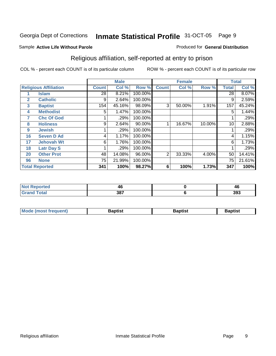#### Sample **Active Life Without Parole**

### Religious affiliation, self-reported at entry to prison

COL % - percent each COUNT is of its particular column ROW % - percent each COUNT is of its particular row

Produced for **General Distribution**

|    |                              |                 | <b>Male</b> |         |              | <b>Female</b> |        |              | <b>Total</b> |
|----|------------------------------|-----------------|-------------|---------|--------------|---------------|--------|--------------|--------------|
|    | <b>Religious Affiliation</b> | <b>Count</b>    | Col %       | Row %   | <b>Count</b> | Col %         | Row %  | <b>Total</b> | Col %        |
|    | <b>Islam</b>                 | $\overline{28}$ | 8.21%       | 100.00% |              |               |        | 28           | 8.07%        |
| 2  | <b>Catholic</b>              | 9               | 2.64%       | 100.00% |              |               |        | 9            | 2.59%        |
| 3  | <b>Baptist</b>               | 154             | 45.16%      | 98.09%  | 3            | 50.00%        | 1.91%  | 157          | 45.24%       |
| 4  | <b>Methodist</b>             | 5               | 1.47%       | 100.00% |              |               |        | 5            | 1.44%        |
| 7  | <b>Chc Of God</b>            |                 | .29%        | 100.00% |              |               |        |              | .29%         |
| 8  | <b>Holiness</b>              | 9               | 2.64%       | 90.00%  |              | 16.67%        | 10.00% | 10           | 2.88%        |
| 9  | <b>Jewish</b>                |                 | .29%        | 100.00% |              |               |        |              | .29%         |
| 16 | <b>Seven D Ad</b>            | 4               | 1.17%       | 100.00% |              |               |        | 4            | 1.15%        |
| 17 | <b>Jehovah Wt</b>            | 6               | 1.76%       | 100.00% |              |               |        | 6            | 1.73%        |
| 18 | <b>Latr Day S</b>            |                 | .29%        | 100.00% |              |               |        |              | .29%         |
| 20 | <b>Other Prot</b>            | 48              | 14.08%      | 96.00%  | 2            | 33.33%        | 4.00%  | 50           | 14.41%       |
| 96 | <b>None</b>                  | 75              | 21.99%      | 100.00% |              |               |        | 75           | 21.61%       |
|    | <b>Total Reported</b>        | 341             | 100%        | 98.27%  | 6            | 100%          | 1.73%  | 347          | 100%         |

|                    | <b>46</b> |
|--------------------|-----------|
| 207<br>וטי<br>$ -$ | 393       |

| <b>Mode (most frequent)</b> | Baptist | <b>Baptist</b> | Baptist |
|-----------------------------|---------|----------------|---------|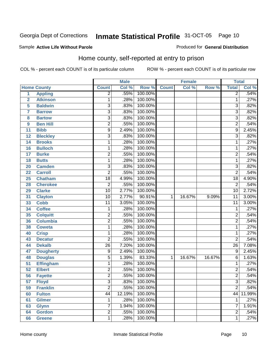#### Sample **Active Life Without Parole**

#### Produced for **General Distribution**

### Home county, self-reported at entry to prison

|                 |                    |                 | <b>Male</b> |         |              | Female |        | <b>Total</b>    |        |
|-----------------|--------------------|-----------------|-------------|---------|--------------|--------|--------|-----------------|--------|
|                 | <b>Home County</b> | <b>Count</b>    | Col %       | Row %   | <b>Count</b> | Col %  | Row %  | <b>Total</b>    | Col %  |
| $\overline{1}$  | <b>Appling</b>     | $\overline{2}$  | .55%        | 100.00% |              |        |        | $\overline{2}$  | .54%   |
| $\overline{2}$  | <b>Atkinson</b>    | 1               | .28%        | 100.00% |              |        |        | 1               | .27%   |
| 5               | <b>Baldwin</b>     | 3               | .83%        | 100.00% |              |        |        | 3               | .82%   |
| $\overline{7}$  | <b>Barrow</b>      | $\overline{3}$  | .83%        | 100.00% |              |        |        | $\overline{3}$  | .82%   |
| 8               | <b>Bartow</b>      | $\overline{3}$  | .83%        | 100.00% |              |        |        | $\overline{3}$  | .82%   |
| 9               | <b>Ben Hill</b>    | $\overline{2}$  | .55%        | 100.00% |              |        |        | $\overline{2}$  | .54%   |
| 11              | <b>Bibb</b>        | $\overline{9}$  | 2.49%       | 100.00% |              |        |        | $\overline{9}$  | 2.45%  |
| 12              | <b>Bleckley</b>    | 3               | .83%        | 100.00% |              |        |        | $\overline{3}$  | .82%   |
| 14              | <b>Brooks</b>      | 1               | .28%        | 100.00% |              |        |        | 1               | .27%   |
| 16              | <b>Bulloch</b>     | 1               | .28%        | 100.00% |              |        |        | 1               | .27%   |
| 17              | <b>Burke</b>       | $\overline{2}$  | .55%        | 100.00% |              |        |        | $\overline{2}$  | .54%   |
| 18              | <b>Butts</b>       | 1               | .28%        | 100.00% |              |        |        | $\mathbf{1}$    | .27%   |
| 20              | <b>Camden</b>      | $\overline{3}$  | .83%        | 100.00% |              |        |        | $\overline{3}$  | .82%   |
| 22              | <b>Carroll</b>     | $\overline{2}$  | .55%        | 100.00% |              |        |        | $\overline{2}$  | .54%   |
| 25              | <b>Chatham</b>     | $\overline{18}$ | 4.99%       | 100.00% |              |        |        | $\overline{18}$ | 4.90%  |
| 28              | <b>Cherokee</b>    | $\overline{2}$  | .55%        | 100.00% |              |        |        | $\overline{2}$  | .54%   |
| 29              | <b>Clarke</b>      | $\overline{10}$ | 2.77%       | 100.00% |              |        |        | 10              | 2.72%  |
| 31              | <b>Clayton</b>     | $\overline{10}$ | 2.77%       | 90.91%  | 1            | 16.67% | 9.09%  | $\overline{11}$ | 3.00%  |
| 33              | <b>Cobb</b>        | $\overline{11}$ | 3.05%       | 100.00% |              |        |        | $\overline{11}$ | 3.00%  |
| 34              | <b>Coffee</b>      | 1               | .28%        | 100.00% |              |        |        | $\mathbf{1}$    | .27%   |
| 35              | <b>Colquitt</b>    | $\overline{2}$  | .55%        | 100.00% |              |        |        | $\overline{2}$  | .54%   |
| 36              | <b>Columbia</b>    | $\overline{2}$  | .55%        | 100.00% |              |        |        | $\overline{2}$  | .54%   |
| 38              | <b>Coweta</b>      | 1               | .28%        | 100.00% |              |        |        | $\mathbf{1}$    | .27%   |
| 40              | <b>Crisp</b>       | 1               | .28%        | 100.00% |              |        |        | $\mathbf{1}$    | .27%   |
| 43              | <b>Decatur</b>     | $\overline{2}$  | .55%        | 100.00% |              |        |        | $\overline{2}$  | .54%   |
| 44              | <b>Dekalb</b>      | $\overline{26}$ | 7.20%       | 100.00% |              |        |        | $\overline{26}$ | 7.08%  |
| 47              | <b>Dougherty</b>   | 9               | 2.49%       | 100.00% |              |        |        | 9               | 2.45%  |
| 48              | <b>Douglas</b>     | $\overline{5}$  | 1.39%       | 83.33%  | $\mathbf{1}$ | 16.67% | 16.67% | 6               | 1.63%  |
| $\overline{51}$ | <b>Effingham</b>   | 1               | .28%        | 100.00% |              |        |        | 1               | .27%   |
| $\overline{52}$ | <b>Elbert</b>      | 2               | .55%        | 100.00% |              |        |        | $\overline{2}$  | .54%   |
| $\overline{56}$ | <b>Fayette</b>     | $\overline{2}$  | .55%        | 100.00% |              |        |        | $\overline{2}$  | .54%   |
| 57              | <b>Floyd</b>       | 3               | .83%        | 100.00% |              |        |        | 3               | .82%   |
| 59              | <b>Franklin</b>    | $\overline{2}$  | .55%        | 100.00% |              |        |        | $\overline{2}$  | .54%   |
| 60              | <b>Fulton</b>      | $\overline{44}$ | 12.19%      | 100.00% |              |        |        | 44              | 11.99% |
| 61              | <b>Gilmer</b>      | 1               | .28%        | 100.00% |              |        |        | 1               | .27%   |
| 63              | <b>Glynn</b>       | 7               | 1.94%       | 100.00% |              |        |        | 7               | 1.91%  |
| 64              | <b>Gordon</b>      | $\overline{2}$  | .55%        | 100.00% |              |        |        | $\overline{2}$  | .54%   |
| 66              | <b>Greene</b>      | $\overline{1}$  | .28%        | 100.00% |              |        |        | $\mathbf 1$     | .27%   |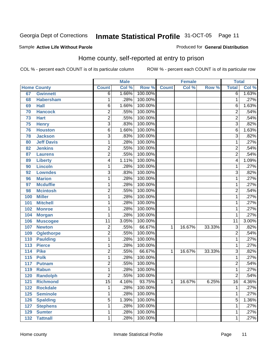#### Sample **Active Life Without Parole**

#### Produced for **General Distribution**

### Home county, self-reported at entry to prison

|                  |                    |                           | <b>Male</b> |         |              | <b>Female</b> |        | <b>Total</b>    |       |
|------------------|--------------------|---------------------------|-------------|---------|--------------|---------------|--------|-----------------|-------|
|                  | <b>Home County</b> | <b>Count</b>              | Col %       | Row %   | <b>Count</b> | Col %         | Row %  | <b>Total</b>    | Col % |
| 67               | <b>Gwinnett</b>    | $\overline{6}$            | 1.66%       | 100.00% |              |               |        | $\overline{6}$  | 1.63% |
| 68               | <b>Habersham</b>   | 1                         | .28%        | 100.00% |              |               |        | 1               | .27%  |
| 69               | <b>Hall</b>        | 6                         | 1.66%       | 100.00% |              |               |        | 6               | 1.63% |
| 70               | <b>Hancock</b>     | 2                         | .55%        | 100.00% |              |               |        | $\overline{2}$  | .54%  |
| 73               | <b>Hart</b>        | $\overline{2}$            | .55%        | 100.00% |              |               |        | $\overline{2}$  | .54%  |
| 75               | <b>Henry</b>       | $\overline{\overline{3}}$ | .83%        | 100.00% |              |               |        | $\overline{3}$  | .82%  |
| 76               | <b>Houston</b>     | $\overline{6}$            | 1.66%       | 100.00% |              |               |        | $\overline{6}$  | 1.63% |
| 78               | <b>Jackson</b>     | 3                         | .83%        | 100.00% |              |               |        | $\overline{3}$  | .82%  |
| 80               | <b>Jeff Davis</b>  | 1                         | .28%        | 100.00% |              |               |        | $\overline{1}$  | .27%  |
| 82               | <b>Jenkins</b>     | $\overline{2}$            | .55%        | 100.00% |              |               |        | $\overline{2}$  | .54%  |
| 87               | <b>Laurens</b>     | $\overline{2}$            | .55%        | 100.00% |              |               |        | $\overline{2}$  | .54%  |
| 89               | <b>Liberty</b>     | 4                         | 1.11%       | 100.00% |              |               |        | 4               | 1.09% |
| 90               | <b>Lincoln</b>     | 1                         | .28%        | 100.00% |              |               |        | $\overline{1}$  | .27%  |
| 92               | <b>Lowndes</b>     | $\overline{3}$            | .83%        | 100.00% |              |               |        | $\overline{3}$  | .82%  |
| 96               | <b>Marion</b>      | 1                         | .28%        | 100.00% |              |               |        | $\overline{1}$  | .27%  |
| 97               | <b>Mcduffie</b>    | 1                         | .28%        | 100.00% |              |               |        | 1               | .27%  |
| 98               | <b>Mcintosh</b>    | $\overline{2}$            | .55%        | 100.00% |              |               |        | $\overline{2}$  | .54%  |
| 100              | <b>Miller</b>      | 1                         | .28%        | 100.00% |              |               |        | $\overline{1}$  | .27%  |
| 101              | <b>Mitchell</b>    | 1                         | .28%        | 100.00% |              |               |        | 1               | .27%  |
| 102              | <b>Monroe</b>      | 1                         | .28%        | 100.00% |              |               |        | 1               | .27%  |
| 104              | <b>Morgan</b>      | 1                         | .28%        | 100.00% |              |               |        | $\overline{1}$  | .27%  |
| 106              | <b>Muscogee</b>    | $\overline{11}$           | 3.05%       | 100.00% |              |               |        | $\overline{11}$ | 3.00% |
| 107              | <b>Newton</b>      | $\overline{c}$            | .55%        | 66.67%  | 1            | 16.67%        | 33.33% | $\overline{3}$  | .82%  |
| 109              | <b>Oglethorpe</b>  | $\overline{2}$            | .55%        | 100.00% |              |               |        | $\overline{2}$  | .54%  |
| 110              | <b>Paulding</b>    | 1                         | .28%        | 100.00% |              |               |        | $\overline{1}$  | .27%  |
| 113              | <b>Pierce</b>      | 1                         | .28%        | 100.00% |              |               |        | 1               | .27%  |
| 114              | <b>Pike</b>        | $\overline{2}$            | .55%        | 66.67%  | $\mathbf 1$  | 16.67%        | 33.33% | $\overline{3}$  | .82%  |
| $\overline{115}$ | <b>Polk</b>        | 1                         | .28%        | 100.00% |              |               |        | 1               | .27%  |
| 117              | <b>Putnam</b>      | $\overline{2}$            | .55%        | 100.00% |              |               |        | $\overline{2}$  | .54%  |
| 119              | <b>Rabun</b>       | 1                         | .28%        | 100.00% |              |               |        | $\overline{1}$  | .27%  |
| 120              | <b>Randolph</b>    | $\overline{2}$            | .55%        | 100.00% |              |               |        | $\overline{2}$  | .54%  |
| 121              | <b>Richmond</b>    | 15                        | 4.16%       | 93.75%  | 1            | 16.67%        | 6.25%  | 16              | 4.36% |
| 122              | <b>Rockdale</b>    | 1                         | .28%        | 100.00% |              |               |        | 1               | .27%  |
| 125              | <b>Seminole</b>    | 1                         | .28%        | 100.00% |              |               |        | 1               | .27%  |
| 126              | <b>Spalding</b>    | $\overline{5}$            | 1.39%       | 100.00% |              |               |        | 5               | 1.36% |
| 127              | <b>Stephens</b>    | 1                         | .28%        | 100.00% |              |               |        | 1               | .27%  |
| 129              | <b>Sumter</b>      | 1                         | .28%        | 100.00% |              |               |        | $\mathbf{1}$    | .27%  |
| 132              | <b>Tattnall</b>    | 1                         | .28%        | 100.00% |              |               |        | $\overline{1}$  | .27%  |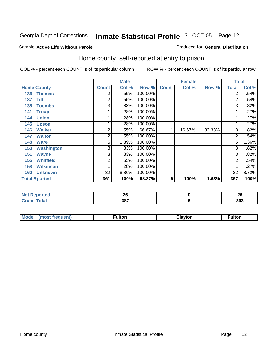#### Sample **Active Life Without Parole**

#### Produced for **General Distribution**

### Home county, self-reported at entry to prison

|     |                      |                | <b>Male</b> |         |              | <b>Female</b> |        | <b>Total</b>   |       |
|-----|----------------------|----------------|-------------|---------|--------------|---------------|--------|----------------|-------|
|     | <b>Home County</b>   | <b>Count</b>   | Col %       | Row %   | <b>Count</b> | Col %         | Row %  | <b>Total</b>   | Col % |
| 136 | <b>Thomas</b>        | $\overline{2}$ | .55%        | 100.00% |              |               |        | $\overline{2}$ | .54%  |
| 137 | <b>Tift</b>          | 2              | .55%        | 100.00% |              |               |        | $\overline{2}$ | .54%  |
| 138 | <b>Toombs</b>        | 3              | .83%        | 100.00% |              |               |        | 3              | .82%  |
| 141 | <b>Troup</b>         |                | .28%        | 100.00% |              |               |        | $\mathbf 1$    | .27%  |
| 144 | <b>Union</b>         |                | .28%        | 100.00% |              |               |        | 1              | .27%  |
| 145 | <b>Upson</b>         |                | .28%        | 100.00% |              |               |        | 1              | .27%  |
| 146 | <b>Walker</b>        | $\overline{2}$ | .55%        | 66.67%  | 1            | 16.67%        | 33.33% | $\overline{3}$ | .82%  |
| 147 | <b>Walton</b>        | 2              | .55%        | 100.00% |              |               |        | $\overline{2}$ | .54%  |
| 148 | <b>Ware</b>          | 5              | 1.39%       | 100.00% |              |               |        | 5              | 1.36% |
| 150 | <b>Washington</b>    | 3              | .83%        | 100.00% |              |               |        | 3 <sub>l</sub> | .82%  |
| 151 | <b>Wayne</b>         | 3              | .83%        | 100.00% |              |               |        | $\overline{3}$ | .82%  |
| 155 | <b>Whitfield</b>     | 2              | .55%        | 100.00% |              |               |        | 2              | .54%  |
| 158 | <b>Wilkinson</b>     |                | .28%        | 100.00% |              |               |        |                | .27%  |
| 160 | <b>Unknown</b>       | 32             | 8.86%       | 100.00% |              |               |        | 32             | 8.72% |
|     | <b>Total Rported</b> | 361            | 100%        | 98.37%  | 6            | 100%          | 1.63%  | 367            | 100%  |

| ™teu    | 0C                 | . . |
|---------|--------------------|-----|
| .       | --                 | ∠   |
| _______ | 287<br>oo.<br>$ -$ | 393 |

| Mode<br>(most frequent) | <b>ultor</b> | <b>Clavton</b> | ulton |
|-------------------------|--------------|----------------|-------|
|-------------------------|--------------|----------------|-------|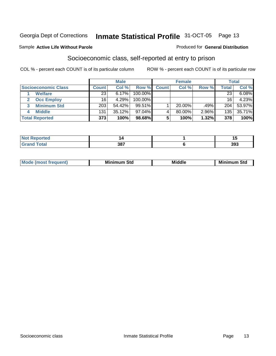#### Sample **Active Life Without Parole**

### Socioeconomic class, self-reported at entry to prison

COL % - percent each COUNT is of its particular column ROW % - percent each COUNT is of its particular row

Produced for **General Distribution**

|                            |              | <b>Male</b> |            |              | <b>Female</b> |          |       | <b>Total</b> |
|----------------------------|--------------|-------------|------------|--------------|---------------|----------|-------|--------------|
| <b>Socioeconomic Class</b> | <b>Count</b> | Col %       | Row %      | <b>Count</b> | Col %         | Row %    | Total | Col %        |
| <b>Welfare</b>             | 23           | $6.17\%$    | 100.00%    |              |               |          | 23    | 6.08%        |
| <b>Occ Employ</b>          | 16           | 4.29%       | $100.00\%$ |              |               |          | 16    | 4.23%        |
| <b>Minimum Std</b>         | 203          | 54.42%      | $99.51\%$  |              | 20.00%        | .49%     | 204   | 53.97%       |
| <b>Middle</b>              | 131          | $35.12\%$   | 97.04%     |              | 80.00%        | $2.96\%$ | 135   | 35.71%       |
| <b>Total Reported</b>      | 373          | 100%        | 98.68%     |              | 100%          | 1.32%    | 378   | 100%         |

| <b>orted</b><br>NOT            | z,  | . . J |
|--------------------------------|-----|-------|
| <b>Total</b><br>Crar<br>$\sim$ | 387 | 393   |

| ___ |  | M.<br>. | Min<br>Std<br>. | Middle | Min<br>Std |
|-----|--|---------|-----------------|--------|------------|
|-----|--|---------|-----------------|--------|------------|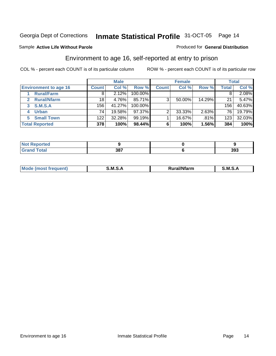#### Sample **Active Life Without Parole**

#### Produced for **General Distribution**

### Environment to age 16, self-reported at entry to prison

|                              |                  | <b>Male</b> |         |              | <b>Female</b> |        |       | <b>Total</b> |
|------------------------------|------------------|-------------|---------|--------------|---------------|--------|-------|--------------|
| <b>Environment to age 16</b> | <b>Count</b>     | Col %       | Row %   | <b>Count</b> | Col %         | Row %  | Total | Col %        |
| <b>Rural/Farm</b>            | 8                | 2.12%       | 100.00% |              |               |        |       | 2.08%        |
| <b>Rural/Nfarm</b>           | 18               | 4.76%       | 85.71%  | 3            | 50.00%        | 14.29% | 21    | 5.47%        |
| <b>S.M.S.A</b><br>3          | 156              | 41.27%      | 100.00% |              |               |        | 156   | 40.63%       |
| <b>Urban</b>                 | 74 <sub>1</sub>  | 19.58%      | 97.37%  |              | 33.33%        | 2.63%  | 76    | 19.79%       |
| <b>Small Town</b>            | 122 <sub>1</sub> | 32.28%      | 99.19%  |              | 16.67%        | .81%   | 123   | 32.03%       |
| <b>Total Reported</b>        | 378              | 100%        | 98.44%  |              | 100%          | 1.56%  | 384   | 100%         |

| <b>orted</b><br>NO1              |     |     |
|----------------------------------|-----|-----|
| <b>Total</b><br>$\mathsf{C}$ and | 387 | 393 |

| M<br>.<br>---<br>s an A<br>.<br>.<br>M<br>M<br>-- |  |  |
|---------------------------------------------------|--|--|
|                                                   |  |  |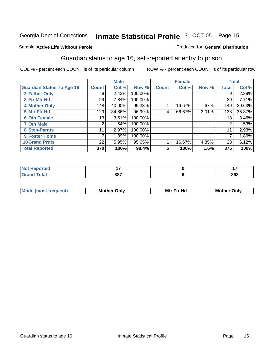### Sample **Active Life Without Parole**

#### Produced for **General Distribution**

### Guardian status to age 16, self-reported at entry to prison

|                                  |                 | <b>Male</b> |         |              | <b>Female</b> |          |              | <b>Total</b> |
|----------------------------------|-----------------|-------------|---------|--------------|---------------|----------|--------------|--------------|
| <b>Guardian Status To Age 16</b> | <b>Count</b>    | Col %       | Row %   | <b>Count</b> | Col %         | Row %    | <b>Total</b> | Col %        |
| 2 Father Only                    | 9               | 2.43%       | 100.00% |              |               |          | 9            | 2.39%        |
| 3 Ftr Mtr Hd                     | 29 <sub>1</sub> | 7.84%       | 100.00% |              |               |          | 29           | 7.71%        |
| <b>4 Mother Only</b>             | 148             | 40.00%      | 99.33%  |              | 16.67%        | .67%     | 149          | 39.63%       |
| 5 Mtr Ftr Hd                     | 129             | 34.86%      | 96.99%  | 4            | 66.67%        | $3.01\%$ | 133          | 35.37%       |
| <b>6 Oth Female</b>              | 13              | 3.51%       | 100.00% |              |               |          | 13           | 3.46%        |
| <b>7 Oth Male</b>                | 2               | .54%        | 100.00% |              |               |          | 2            | .53%         |
| 8 Step-Parnts                    | 11              | 2.97%       | 100.00% |              |               |          | 11           | 2.93%        |
| 9 Foster Home                    | 7               | 1.89%       | 100.00% |              |               |          |              | 1.86%        |
| <b>10 Grand Prnts</b>            | 22              | 5.95%       | 95.65%  |              | 16.67%        | 4.35%    | 23           | 6.12%        |
| <b>Total Reported</b>            | 370             | 100%        | 98.4%   | 6            | 100%          | 1.6%     | 376          | 100%         |

| $\sim$ $-$ |            |     |
|------------|------------|-----|
|            | າດ7<br>JL. | 393 |

| <b>Mod</b> | <b>Mother</b><br>Onlv | Hc<br>. <u>.</u><br>Mtr | Only |
|------------|-----------------------|-------------------------|------|
|            |                       |                         |      |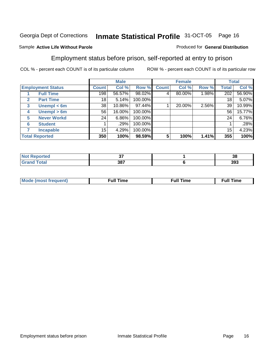#### Sample **Active Life Without Parole**

### Employment status before prison, self-reported at entry to prison

COL % - percent each COUNT is of its particular column ROW % - percent each COUNT is of its particular row

Produced for **General Distribution**

|                                  |              | <b>Male</b> |         |              | <b>Female</b> |       |              | <b>Total</b> |
|----------------------------------|--------------|-------------|---------|--------------|---------------|-------|--------------|--------------|
| <b>Employment Status</b>         | <b>Count</b> | Col %       | Row %   | <b>Count</b> | Col %         | Row % | <b>Total</b> | Col %        |
| <b>Full Time</b>                 | 198          | 56.57%      | 98.02%  | 4            | 80.00%        | 1.98% | 202          | 56.90%       |
| <b>Part Time</b><br>$\mathbf{2}$ | 18           | 5.14%       | 100.00% |              |               |       | 18           | 5.07%        |
| Unempl $<$ 6m<br>3               | 38           | 10.86%      | 97.44%  |              | 20.00%        | 2.56% | 39           | 10.99%       |
| Unempl > 6m<br>4                 | 56           | 16.00%      | 100.00% |              |               |       | 56           | 15.77%       |
| <b>Never Workd</b><br>5          | 24           | 6.86%       | 100.00% |              |               |       | 24           | 6.76%        |
| <b>Student</b><br>6              |              | .29%        | 100.00% |              |               |       |              | .28%         |
| <b>Incapable</b>                 | 15           | 4.29%       | 100.00% |              |               |       | 15           | 4.23%        |
| <b>Total Reported</b>            | 350          | 100%        | 98.59%  | 5            | 100%          | 1.41% | 355          | 100%         |

| <b><i>Collaboration</i></b> | ~-  | 20  |
|-----------------------------|-----|-----|
| теа                         | v.  | 90  |
| ______                      | 387 | 393 |

| Mο | - - | ne | .<br><b>Full Time</b> |
|----|-----|----|-----------------------|
|    |     |    |                       |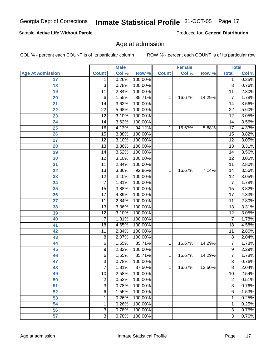| <b>Age At Admission</b> | <b>Count</b>    | Col % | Row %   | <b>Count</b> | Col %  | Row %  | <b>Total</b>    | Col % |
|-------------------------|-----------------|-------|---------|--------------|--------|--------|-----------------|-------|
| 17                      | 1               | 0.26% | 100.00% |              |        |        | 1               | 0.25% |
| 18                      | $\overline{3}$  | 0.78% | 100.00% |              |        |        | $\overline{3}$  | 0.76% |
| 19                      | 11              | 2.84% | 100.00% |              |        |        | 11              | 2.80% |
| 20                      | $\overline{6}$  | 1.55% | 85.71%  | 1            | 16.67% | 14.29% | 7               | 1.78% |
| 21                      | 14              | 3.62% | 100.00% |              |        |        | 14              | 3.56% |
| 22                      | $\overline{22}$ | 5.68% | 100.00% |              |        |        | $\overline{22}$ | 5.60% |
| 23                      | 12              | 3.10% | 100.00% |              |        |        | 12              | 3.05% |
| 24                      | 14              | 3.62% | 100.00% |              |        |        | 14              | 3.56% |
| $\overline{25}$         | 16              | 4.13% | 94.12%  | 1            | 16.67% | 5.88%  | 17              | 4.33% |
| 26                      | $\overline{15}$ | 3.88% | 100.00% |              |        |        | $\overline{15}$ | 3.82% |
| 27                      | 12              | 3.10% | 100.00% |              |        |        | 12              | 3.05% |
| 28                      | 13              | 3.36% | 100.00% |              |        |        | 13              | 3.31% |
| 29                      | 14              | 3.62% | 100.00% |              |        |        | 14              | 3.56% |
| 30                      | $\overline{12}$ | 3.10% | 100.00% |              |        |        | $\overline{12}$ | 3.05% |
| 31                      | 11              | 2.84% | 100.00% |              |        |        | 11              | 2.80% |
| 32                      | 13              | 3.36% | 92.86%  | 1            | 16.67% | 7.14%  | 14              | 3.56% |
| 33                      | 12              | 3.10% | 100.00% |              |        |        | 12              | 3.05% |
| 34                      | $\overline{7}$  | 1.81% | 100.00% |              |        |        | $\overline{7}$  | 1.78% |
| 35                      | 15              | 3.88% | 100.00% |              |        |        | 15              | 3.82% |
| 36                      | 17              | 4.39% | 100.00% |              |        |        | 17              | 4.33% |
| 37                      | 11              | 2.84% | 100.00% |              |        |        | 11              | 2.80% |
| 38                      | 13              | 3.36% | 100.00% |              |        |        | $\overline{13}$ | 3.31% |
| 39                      | 12              | 3.10% | 100.00% |              |        |        | 12              | 3.05% |
| 40                      | $\overline{7}$  | 1.81% | 100.00% |              |        |        | $\overline{7}$  | 1.78% |
| 41                      | 18              | 4.65% | 100.00% |              |        |        | 18              | 4.58% |
| 42                      | 11              | 2.84% | 100.00% |              |        |        | $\overline{11}$ | 2.80% |
| 43                      | 8               | 2.07% | 100.00% |              |        |        | 8               | 2.04% |
| 44                      | 6               | 1.55% | 85.71%  | 1            | 16.67% | 14.29% | 7               | 1.78% |
| 45                      | 9               | 2.33% | 100.00% |              |        |        | 9               | 2.29% |
| 46                      | $\overline{6}$  | 1.55% | 85.71%  | 1            | 16.67% | 14.29% | 7               | 1.78% |
| 47                      | $\overline{3}$  | 0.78% | 100.00% |              |        |        | $\overline{3}$  | 0.76% |
| 48                      | $\overline{7}$  | 1.81% | 87.50%  | 1            | 16.67% | 12.50% | $\overline{8}$  | 2.04% |
| 49                      | $\overline{10}$ | 2.58% | 100.00% |              |        |        | $\overline{10}$ | 2.54% |
| 50                      | $\overline{2}$  | 0.52% | 100.00% |              |        |        | $\overline{2}$  | 0.51% |
| 51                      | $\overline{3}$  | 0.78% | 100.00% |              |        |        | $\overline{3}$  | 0.76% |
| $\overline{52}$         | $\overline{6}$  | 1.55% | 100.00% |              |        |        | 6               | 1.53% |
| 53                      | 1               | 0.26% | 100.00% |              |        |        | 1               | 0.25% |
| 54                      | 1               | 0.26% | 100.00% |              |        |        | 1               | 0.25% |
| 56                      | 3               | 0.78% | 100.00% |              |        |        | $\overline{3}$  | 0.76% |
| $\overline{57}$         | $\overline{3}$  | 0.78% | 100.00% |              |        |        | $\overline{3}$  | 0.76% |

Age at admission

COL % - percent each COUNT is of its particular column ROW % - percent each COUNT is of its particular row

**Male**

#### Sample **Active Life Without Parole**

Produced for **General Distribution**

**Female Total**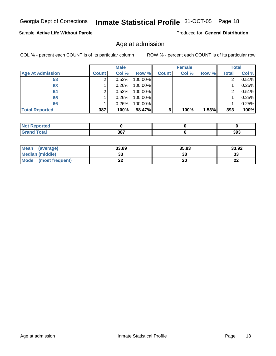### Sample **Active Life Without Parole**

Produced for **General Distribution**

### Age at admission

|                         |              | <b>Male</b> |         |              | <b>Female</b> |       |       | <b>Total</b> |
|-------------------------|--------------|-------------|---------|--------------|---------------|-------|-------|--------------|
| <b>Age At Admission</b> | <b>Count</b> | Col %       | Row %   | <b>Count</b> | Col %         | Row % | Total | Col %        |
| 58                      |              | 0.52%       | 100.00% |              |               |       | ົ     | 0.51%        |
| 63                      |              | 0.26%       | 100.00% |              |               |       |       | 0.25%        |
| 64                      |              | 0.52%       | 100.00% |              |               |       |       | 0.51%        |
| 65                      |              | 0.26%       | 100.00% |              |               |       |       | 0.25%        |
| 66                      |              | 0.26%       | 100.00% |              |               |       |       | 0.25%        |
| <b>Total Reported</b>   | 387          | 100%        | 98.47%  | 6            | 100%          | 1.53% | 393   | 100%         |

| ≺eportea<br>--<br>$\sim$ |             |     |
|--------------------------|-------------|-----|
| _____                    | 207<br>JU I | 393 |

| <b>Mean</b><br>(average) | 33.89 | 35.83 | 33.92    |
|--------------------------|-------|-------|----------|
| Median (middle)          | ິ     | 38    | າາ<br>აა |
| Mode<br>(most frequent)  | - -   | 20    | …<br>LL  |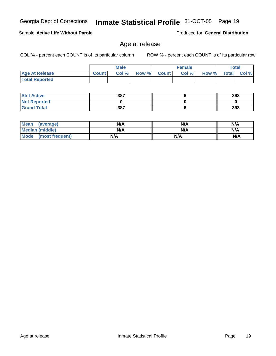### Sample **Active Life Without Parole**

Produced for **General Distribution**

### Age at release

|                       |              | Male  |       |              | <b>Female</b> |       | <b>Total</b> |          |
|-----------------------|--------------|-------|-------|--------------|---------------|-------|--------------|----------|
| <b>Age At Release</b> | <b>Count</b> | Col % | Row % | <b>Count</b> | Col %         | Row % | <b>Total</b> | $Col \%$ |
| <b>Total Reported</b> |              |       |       |              |               |       |              |          |

| <b>Still Active</b> | 387 | 393 |
|---------------------|-----|-----|
| <b>Not Reported</b> |     |     |
| <b>Grand Total</b>  | 387 | 393 |

| <b>Mean</b><br>(average) | N/A | N/A | N/A |
|--------------------------|-----|-----|-----|
| <b>Median (middle)</b>   | N/A | N/A | N/A |
| Mode (most frequent)     | N/A | N/A | N/A |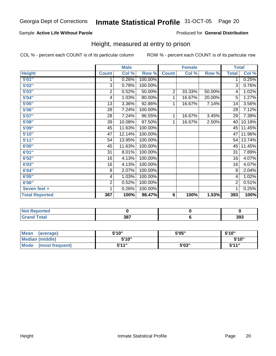### Sample **Active Life Without Parole**

Produced for **General Distribution**

### Height, measured at entry to prison

|                       |                | <b>Male</b> |         |                | <b>Female</b> |        | <b>Total</b>   |        |
|-----------------------|----------------|-------------|---------|----------------|---------------|--------|----------------|--------|
| <b>Height</b>         | <b>Count</b>   | Col %       | Row %   | <b>Count</b>   | Col %         | Row %  | <b>Total</b>   | Col %  |
| 5'01''                | 1              | 0.26%       | 100.00% |                |               |        | 1              | 0.25%  |
| 5'02"                 | $\overline{3}$ | 0.78%       | 100.00% |                |               |        | 3              | 0.76%  |
| 5'03"                 | $\mathbf 2$    | 0.52%       | 50.00%  | $\overline{2}$ | 33.33%        | 50.00% | 4              | 1.02%  |
| 5'04"                 | 4              | 1.03%       | 80.00%  | 1              | 16.67%        | 20.00% | 5              | 1.27%  |
| 5'05"                 | 13             | 3.36%       | 92.86%  | 1              | 16.67%        | 7.14%  | 14             | 3.56%  |
| 5'06"                 | 28             | 7.24%       | 100.00% |                |               |        | 28             | 7.12%  |
| 5'07''                | 28             | 7.24%       | 96.55%  | 1              | 16.67%        | 3.45%  | 29             | 7.38%  |
| 5'08"                 | 39             | 10.08%      | 97.50%  | 1              | 16.67%        | 2.50%  | 40             | 10.18% |
| 5'09''                | 45             | 11.63%      | 100.00% |                |               |        | 45             | 11.45% |
| 5'10''                | 47             | 12.14%      | 100.00% |                |               |        | 47             | 11.96% |
| 5'11''                | 54             | 13.95%      | 100.00% |                |               |        | 54             | 13.74% |
| 6'00"                 | 45             | 11.63%      | 100.00% |                |               |        | 45             | 11.45% |
| 6'01"                 | 31             | 8.01%       | 100.00% |                |               |        | 31             | 7.89%  |
| 6'02"                 | 16             | 4.13%       | 100.00% |                |               |        | 16             | 4.07%  |
| 6'03"                 | 16             | 4.13%       | 100.00% |                |               |        | 16             | 4.07%  |
| 6'04"                 | 8              | 2.07%       | 100.00% |                |               |        | 8              | 2.04%  |
| 6'05''                | 4              | 1.03%       | 100.00% |                |               |        | 4              | 1.02%  |
| 6'06"                 | $\overline{2}$ | 0.52%       | 100.00% |                |               |        | $\overline{2}$ | 0.51%  |
| Seven feet +          | 1              | 0.26%       | 100.00% |                |               |        | 1              | 0.25%  |
| <b>Total Reported</b> | 387            | 100%        | 98.47%  | 6              | 100%          | 1.53%  | 393            | 100%   |

| <b>orted</b><br>'N ( |     |     |
|----------------------|-----|-----|
| <b>Total</b>         | 387 | 393 |

| Mean<br>(average)       | 5'10" | 5'05" | 5'10"        |
|-------------------------|-------|-------|--------------|
| Median (middle)         | 5'10" |       | 5'10''       |
| Mode<br>(most frequent) | 5'11" | 5'03" | <b>5'44"</b> |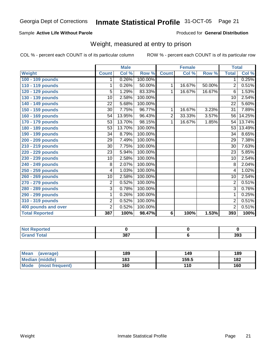### Sample **Active Life Without Parole**

Produced for **General Distribution**

### Weight, measured at entry to prison

|                       |                 | <b>Male</b> |         |              | <b>Female</b> |        | <b>Total</b>    |        |
|-----------------------|-----------------|-------------|---------|--------------|---------------|--------|-----------------|--------|
| Weight                | <b>Count</b>    | Col %       | Row %   | <b>Count</b> | Col %         | Row %  | <b>Total</b>    | Col %  |
| 100 - 109 pounds      | 1               | 0.26%       | 100.00% |              |               |        | 1.              | 0.25%  |
| 110 - 119 pounds      | 1               | 0.26%       | 50.00%  | 1            | 16.67%        | 50.00% | $\overline{2}$  | 0.51%  |
| 120 - 129 pounds      | 5               | 1.29%       | 83.33%  | 1            | 16.67%        | 16.67% | 6               | 1.53%  |
| 130 - 139 pounds      | 10              | 2.58%       | 100.00% |              |               |        | 10              | 2.54%  |
| 140 - 149 pounds      | $\overline{22}$ | 5.68%       | 100.00% |              |               |        | $\overline{22}$ | 5.60%  |
| 150 - 159 pounds      | 30              | 7.75%       | 96.77%  | 1            | 16.67%        | 3.23%  | $\overline{31}$ | 7.89%  |
| 160 - 169 pounds      | 54              | 13.95%      | 96.43%  | 2            | 33.33%        | 3.57%  | 56              | 14.25% |
| 170 - 179 pounds      | 53              | 13.70%      | 98.15%  | 1            | 16.67%        | 1.85%  | 54              | 13.74% |
| 180 - 189 pounds      | 53              | 13.70%      | 100.00% |              |               |        | 53              | 13.49% |
| 190 - 199 pounds      | 34              | 8.79%       | 100.00% |              |               |        | $\overline{34}$ | 8.65%  |
| 200 - 209 pounds      | $\overline{29}$ | 7.49%       | 100.00% |              |               |        | 29              | 7.38%  |
| 210 - 219 pounds      | 30              | 7.75%       | 100.00% |              |               |        | 30              | 7.63%  |
| 220 - 229 pounds      | $\overline{23}$ | 5.94%       | 100.00% |              |               |        | $\overline{23}$ | 5.85%  |
| 230 - 239 pounds      | 10              | 2.58%       | 100.00% |              |               |        | $\overline{10}$ | 2.54%  |
| 240 - 249 pounds      | 8               | 2.07%       | 100.00% |              |               |        | 8               | 2.04%  |
| 250 - 259 pounds      | $\overline{4}$  | 1.03%       | 100.00% |              |               |        | 4               | 1.02%  |
| 260 - 269 pounds      | 10              | 2.58%       | 100.00% |              |               |        | $\overline{10}$ | 2.54%  |
| 270 - 279 pounds      | $\overline{2}$  | 0.52%       | 100.00% |              |               |        | 2               | 0.51%  |
| 280 - 289 pounds      | 3               | 0.78%       | 100.00% |              |               |        | 3               | 0.76%  |
| 290 - 299 pounds      | 1               | 0.26%       | 100.00% |              |               |        | 1               | 0.25%  |
| 310 - 319 pounds      | $\overline{2}$  | 0.52%       | 100.00% |              |               |        | $\overline{2}$  | 0.51%  |
| 400 pounds and over   | $\overline{2}$  | 0.52%       | 100.00% |              |               |        | $\overline{2}$  | 0.51%  |
| <b>Total Reported</b> | 387             | 100%        | 98.47%  | 6            | 100%          | 1.53%  | 393             | 100%   |

| Reported          |            |     |
|-------------------|------------|-----|
| <b>Total</b><br>. | 207<br>וטנ | 393 |

| <b>Mean</b><br>(average) | 189 | 149   | 189 |
|--------------------------|-----|-------|-----|
| <b>Median (middle)</b>   | 183 | 159.5 | 182 |
| Mode<br>(most frequent)  | 160 | 110   | 160 |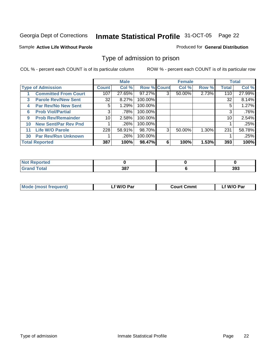#### Sample **Active Life Without Parole**

#### Produced for **General Distribution**

### Type of admission to prison

|              |                             |                 | <b>Male</b> |                    |   | <b>Female</b> |          |              | <b>Total</b> |
|--------------|-----------------------------|-----------------|-------------|--------------------|---|---------------|----------|--------------|--------------|
|              | <b>Type of Admission</b>    | Count           | Col %       | <b>Row % Count</b> |   | Col %         | Row %    | <b>Total</b> | Col %        |
|              | <b>Committed From Court</b> | 107             | 27.65%      | 97.27%             | 3 | 50.00%        | 2.73%    | 110          | 27.99%       |
| $\mathbf{3}$ | <b>Parole Rev/New Sent</b>  | 32              | 8.27%       | 100.00%            |   |               |          | 32           | 8.14%        |
| 4            | <b>Par Rev/No New Sent</b>  | 5.              | 1.29%       | 100.00%            |   |               |          | 5            | 1.27%        |
| 6            | <b>Prob Viol/Partial</b>    | 3               | .78%        | 100.00%            |   |               |          | 3            | .76%         |
| 9            | <b>Prob Rev/Remainder</b>   | 10 <sup>1</sup> | 2.58%       | 100.00%            |   |               |          | 10           | 2.54%        |
| 10           | <b>New Sent/Par Rev Pnd</b> |                 | .26%        | 100.00%            |   |               |          |              | .25%         |
| 11           | <b>Life W/O Parole</b>      | 228             | 58.91%      | 98.70%             | 3 | 50.00%        | $1.30\%$ | 231          | 58.78%       |
| 30           | <b>Par Rev/Rsn Unknown</b>  |                 | .26%        | 100.00%            |   |               |          |              | .25%         |
|              | <b>Total Reported</b>       | 387             | 100%        | 98.47%             | 6 | 100%          | 1.53%    | 393          | 100%         |

| rreo                  |          |     |
|-----------------------|----------|-----|
| $f = 4 \pi r$<br>υιαι | າດ<br>JΟ | 393 |

| <b>Mode (most frequent)</b> | f W/O Par | <b>Court Cmmt</b> | `W/O Par |
|-----------------------------|-----------|-------------------|----------|
|                             |           |                   |          |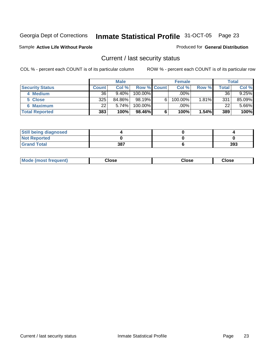#### Sample **Active Life Without Parole**

#### Produced for **General Distribution**

### Current / last security status

|                        |              | <b>Male</b> |                    |   | <b>Female</b> |          |       | <b>Total</b> |
|------------------------|--------------|-------------|--------------------|---|---------------|----------|-------|--------------|
| <b>Security Status</b> | <b>Count</b> | Col %       | <b>Row % Count</b> |   | Col %         | Row %    | Total | Col %        |
| 4 Medium               | 36           | 9.40%       | $100.00\%$         |   | .00%          |          | 36    | 9.25%        |
| 5 Close                | 325          | 84.86%      | 98.19%             | 6 | 100.00%       | $1.81\%$ | 331   | 85.09%       |
| 6 Maximum              | 22           | 5.74%       | 100.00%            |   | .00%          |          | 22    | 5.66%        |
| <b>Total Reported</b>  | 383          | 100%        | 98.46%             | 6 | 100%          | $1.54\%$ | 389   | 100%         |

| <b>Still being diagnosed</b> |     |     |
|------------------------------|-----|-----|
| <b>Not Reported</b>          |     |     |
| <b>Grand Total</b>           | 387 | 393 |

| <b>Mode (most frequent)</b> | <b>Slose</b> : | ∵lose | Close |  |
|-----------------------------|----------------|-------|-------|--|
|                             |                |       |       |  |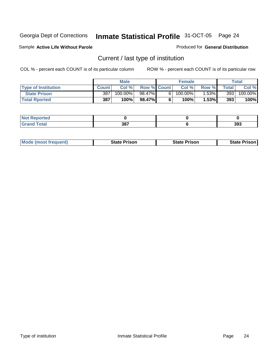#### Sample **Active Life Without Parole**

#### Produced for **General Distribution**

### Current / last type of institution

|                            |              | <b>Male</b> |                    |    | <b>Female</b> |          |       | Total                 |
|----------------------------|--------------|-------------|--------------------|----|---------------|----------|-------|-----------------------|
| <b>Type of Institution</b> | <b>Count</b> | Col %       | <b>Row % Count</b> |    | Col %         | Row %    | Total | Col %                 |
| <b>State Prison</b>        | 387          | $100.00\%$  | 98.47%             | 61 | $100.00\%$    | $1.53\%$ | 393   | $100.\overline{00\%}$ |
| <b>Total Rported</b>       | 387          | 100%        | 98.47%             |    | $100\%$       | 1.53%    | 393   | 100%                  |

| <b>Reported</b><br>'N (<br>. |                   |     |
|------------------------------|-------------------|-----|
| <b>ota</b>                   | 287<br><b>JOI</b> | 393 |

|  | <b>Mode (most frequent)</b> | <b>State Prison</b> | <b>State Prison</b> | <b>State Prison</b> |
|--|-----------------------------|---------------------|---------------------|---------------------|
|--|-----------------------------|---------------------|---------------------|---------------------|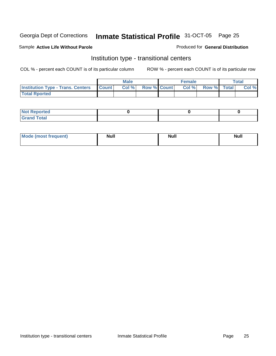#### Sample **Active Life Without Parole**

#### Produced for **General Distribution**

### Institution type - transitional centers

|                                                | <b>Male</b> |                    | <b>Female</b> |                    | <b>Total</b> |
|------------------------------------------------|-------------|--------------------|---------------|--------------------|--------------|
| <b>Institution Type - Trans. Centers Count</b> | Col %       | <b>Row % Count</b> | Col%          | <b>Row % Total</b> | Col %        |
| <b>Total Rported</b>                           |             |                    |               |                    |              |

| <b>Not Reported</b> |  |  |
|---------------------|--|--|
| <b>Total</b><br>r.  |  |  |

| <b>Mode (most frequent)</b> | <b>Null</b> | <b>Null</b> | <b>Null</b> |
|-----------------------------|-------------|-------------|-------------|
|                             |             |             |             |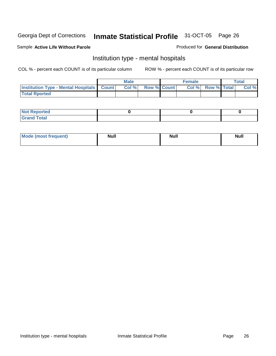#### Sample **Active Life Without Parole**

#### Produced for **General Distribution**

### Institution type - mental hospitals

|                                                    | Male  |                    | <b>Female</b> |                   | Total |
|----------------------------------------------------|-------|--------------------|---------------|-------------------|-------|
| <b>Institution Type - Mental Hospitals Count  </b> | Col % | <b>Row % Count</b> |               | Col % Row % Total | Col % |
| <b>Total Rported</b>                               |       |                    |               |                   |       |

| <b>Not Reported</b> |  |  |
|---------------------|--|--|
| <b>Total</b><br>r.  |  |  |

| Mode (most frequent) | <b>Null</b> | <b>Null</b> | <b>Null</b> |
|----------------------|-------------|-------------|-------------|
|                      |             |             |             |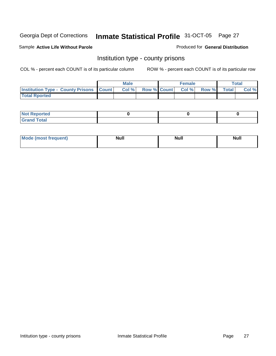#### Sample **Active Life Without Parole**

#### Produced for **General Distribution**

### Institution type - county prisons

|                                                    | <b>Male</b> |  | <b>Female</b>     |       |         | $\tau$ otal |
|----------------------------------------------------|-------------|--|-------------------|-------|---------|-------------|
| <b>Institution Type - County Prisons   Count  </b> | Col %       |  | Row % Count Col % | Row % | Total i | Col %       |
| <b>Total Rported</b>                               |             |  |                   |       |         |             |

| <b>Not Reported</b>                                     |  |  |
|---------------------------------------------------------|--|--|
| <b>Total</b><br><b>Grat</b><br>$\sim$ . $\sim$ . $\sim$ |  |  |

| <b>Mode (most frequent)</b> | Null | Null | <b>Null</b> |
|-----------------------------|------|------|-------------|
|                             |      |      |             |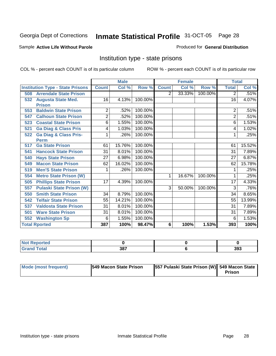#### Sample **Active Life Without Parole**

#### Produced for **General Distribution**

### Institution type - state prisons

|     |                                         |                | <b>Male</b> |         |                | <b>Female</b> |         | <b>Total</b>   |        |
|-----|-----------------------------------------|----------------|-------------|---------|----------------|---------------|---------|----------------|--------|
|     | <b>Institution Type - State Prisons</b> | <b>Count</b>   | Col %       | Row %   | <b>Count</b>   | Col %         | Row %   | <b>Total</b>   | Col %  |
| 508 | <b>Arrendale State Prison</b>           |                |             |         | $\overline{2}$ | 33.33%        | 100.00% | 2              | .51%   |
| 532 | <b>Augusta State Med.</b>               | 16             | 4.13%       | 100.00% |                |               |         | 16             | 4.07%  |
|     | <b>Prison</b>                           |                |             |         |                |               |         |                |        |
| 553 | <b>Baldwin State Prison</b>             | 2              | .52%        | 100.00% |                |               |         | $\overline{2}$ | .51%   |
| 547 | <b>Calhoun State Prison</b>             | $\overline{2}$ | .52%        | 100.00% |                |               |         | 2              | .51%   |
| 523 | <b>Coastal State Prison</b>             | 6              | 1.55%       | 100.00% |                |               |         | 6              | 1.53%  |
| 521 | <b>Ga Diag &amp; Class Pris</b>         | 4              | 1.03%       | 100.00% |                |               |         | 4              | 1.02%  |
| 522 | <b>Ga Diag &amp; Class Pris-</b>        | 1              | .26%        | 100.00% |                |               |         | 1              | .25%   |
|     | <b>Perm</b>                             |                |             |         |                |               |         |                |        |
| 517 | <b>Ga State Prison</b>                  | 61             | 15.76%      | 100.00% |                |               |         | 61             | 15.52% |
| 541 | <b>Hancock State Prison</b>             | 31             | 8.01%       | 100.00% |                |               |         | 31             | 7.89%  |
| 540 | <b>Hays State Prison</b>                | 27             | 6.98%       | 100.00% |                |               |         | 27             | 6.87%  |
| 549 | <b>Macon State Prison</b>               | 62             | 16.02%      | 100.00% |                |               |         | 62             | 15.78% |
| 519 | <b>Men'S State Prison</b>               |                | .26%        | 100.00% |                |               |         |                | .25%   |
| 554 | <b>Metro State Prison (W)</b>           |                |             |         | 1              | 16.67%        | 100.00% | 1              | .25%   |
| 505 | <b>Phillips State Prison</b>            | 17             | 4.39%       | 100.00% |                |               |         | 17             | 4.33%  |
| 557 | <b>Pulaski State Prison (W)</b>         |                |             |         | 3              | 50.00%        | 100.00% | 3              | .76%   |
| 550 | <b>Smith State Prison</b>               | 34             | 8.79%       | 100.00% |                |               |         | 34             | 8.65%  |
| 542 | <b>Telfair State Prison</b>             | 55             | 14.21%      | 100.00% |                |               |         | 55             | 13.99% |
| 537 | <b>Valdosta State Prison</b>            | 31             | 8.01%       | 100.00% |                |               |         | 31             | 7.89%  |
| 501 | <b>Ware State Prison</b>                | 31             | 8.01%       | 100.00% |                |               |         | 31             | 7.89%  |
| 552 | <b>Washington Sp</b>                    | 6              | 1.55%       | 100.00% |                |               |         | 6              | 1.53%  |
|     | <b>Total Rported</b>                    | 387            | 100%        | 98.47%  | 6              | 100%          | 1.53%   | 393            | 100%   |

| .∢eported            |            |     |
|----------------------|------------|-----|
| <b>Total</b><br>Cror | 207<br>oo, | 393 |

| Mode (most frequent) | <b>1549 Macon State Prison</b> | 557 Pulaski State Prison (W) 549 Macon State | Prison |
|----------------------|--------------------------------|----------------------------------------------|--------|
|----------------------|--------------------------------|----------------------------------------------|--------|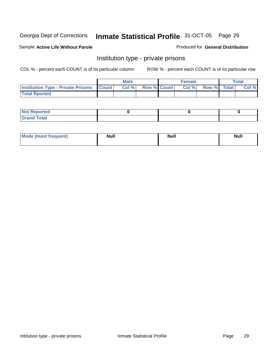#### Sample **Active Life Without Parole**

#### Produced for **General Distribution**

### Institution type - private prisons

|                                                     | <b>Male</b> |                    | <b>Female</b> |                    | <b>Total</b> |
|-----------------------------------------------------|-------------|--------------------|---------------|--------------------|--------------|
| <b>Institution Type - Private Prisons   Count  </b> | Col%        | <b>Row % Count</b> | Col %         | <b>Row %</b> Total | Col %        |
| <b>Total Rported</b>                                |             |                    |               |                    |              |

| <b>Not Reported</b>           |  |  |
|-------------------------------|--|--|
| <b>Total</b><br>Gra<br>$\sim$ |  |  |

| Mode (most frequent) | <b>Null</b> | <b>Null</b> | <b>Null</b> |
|----------------------|-------------|-------------|-------------|
|                      |             |             |             |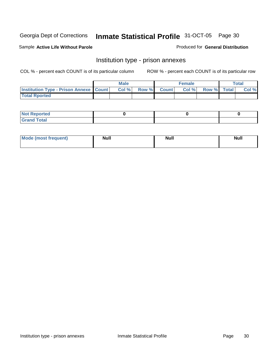Sample **Active Life Without Parole** 

Produced for **General Distribution**

### Institution type - prison annexes

|                                                   | <b>Male</b> |             | <b>Female</b> |             | <b>Total</b> |
|---------------------------------------------------|-------------|-------------|---------------|-------------|--------------|
| <b>Institution Type - Prison Annexe   Count  </b> | Col %       | Row % Count | Col %         | Row % Total | Col %        |
| <b>Total Rported</b>                              |             |             |               |             |              |

| $N$ nt R<br>Reported         |  |  |
|------------------------------|--|--|
| <b>Total</b><br><b>Grano</b> |  |  |

| Mode (most frequent) | <b>Null</b> | <b>Null</b> | <b>Null</b> |
|----------------------|-------------|-------------|-------------|
|                      |             |             |             |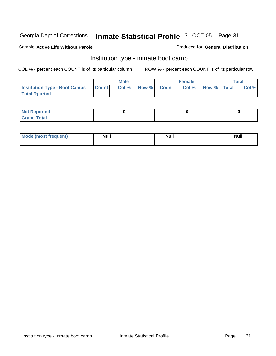#### Sample **Active Life Without Parole**

#### Produced for **General Distribution**

### Institution type - inmate boot camp

|                                      |              | <b>Male</b> |                    | Female |             | <b>Total</b> |
|--------------------------------------|--------------|-------------|--------------------|--------|-------------|--------------|
| <b>Institution Type - Boot Camps</b> | <b>Count</b> | Col %       | <b>Row % Count</b> | Col %  | Row % Total | Col %        |
| <b>Total Rported</b>                 |              |             |                    |        |             |              |

| <b>Not Reported</b>            |  |  |
|--------------------------------|--|--|
| <b>Total</b><br>C <sub>r</sub> |  |  |

| Mode (most frequent) | <b>Null</b> | <b>Null</b> | <b>Null</b> |
|----------------------|-------------|-------------|-------------|
|                      |             |             |             |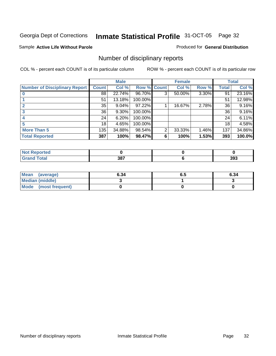#### Sample **Active Life Without Parole**

#### Produced for **General Distribution**

### Number of disciplinary reports

|                                      |              | <b>Male</b> |             |                | <b>Female</b> |          |       | <b>Total</b> |
|--------------------------------------|--------------|-------------|-------------|----------------|---------------|----------|-------|--------------|
| <b>Number of Disciplinary Report</b> | <b>Count</b> | Col %       | Row % Count |                | Col %         | Row %    | Total | Col %        |
|                                      | 88           | 22.74%      | 96.70%      | 3 <sup>1</sup> | 50.00%        | $3.30\%$ | 91    | 23.16%       |
|                                      | 51           | 13.18%      | 100.00%     |                |               |          | 51    | 12.98%       |
|                                      | 35           | 9.04%       | 97.22%      |                | 16.67%        | 2.78%    | 36    | 9.16%        |
| 3                                    | 36           | 9.30%       | 100.00%     |                |               |          | 36    | 9.16%        |
| 4                                    | 24           | 6.20%       | 100.00%     |                |               |          | 24    | 6.11%        |
| 5                                    | 18           | 4.65%       | 100.00%     |                |               |          | 18    | 4.58%        |
| <b>More Than 5</b>                   | 135          | 34.88%      | 98.54%      | 2              | 33.33%        | 1.46%    | 137   | 34.86%       |
| <b>Total Reported</b>                | 387          | 100%        | 98.47%      | 6              | 100%          | 1.53%    | 393   | 100.0%       |

| тес<br>N |     |     |
|----------|-----|-----|
|          | 387 | 393 |

| Mean (average)       | 6.34 | o.a | 6.34 |
|----------------------|------|-----|------|
| Median (middle)      |      |     |      |
| Mode (most frequent) |      |     |      |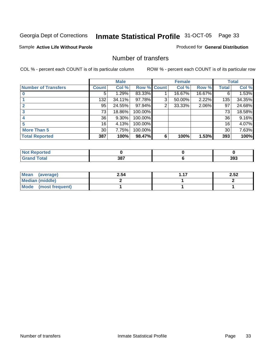#### Sample **Active Life Without Parole**

#### Produced for **General Distribution**

### Number of transfers

|                            |                 | <b>Male</b> |                    |                | <b>Female</b> |        |              | <b>Total</b> |
|----------------------------|-----------------|-------------|--------------------|----------------|---------------|--------|--------------|--------------|
| <b>Number of Transfers</b> | <b>Count</b>    | Col %       | <b>Row % Count</b> |                | Col %         | Row %  | <b>Total</b> | Col %        |
|                            | 5               | 1.29%       | 83.33%             |                | 16.67%        | 16.67% | 6            | 1.53%        |
|                            | 132             | 34.11%      | 97.78%             | 3              | 50.00%        | 2.22%  | 135          | 34.35%       |
|                            | 95              | 24.55%      | 97.94%             | $\overline{2}$ | 33.33%        | 2.06%  | 97           | 24.68%       |
|                            | 73              | 18.86%      | 100.00%            |                |               |        | 73           | 18.58%       |
|                            | 36              | 9.30%       | 100.00%            |                |               |        | 36           | 9.16%        |
|                            | 16              | 4.13%       | 100.00%            |                |               |        | 16           | 4.07%        |
| <b>More Than 5</b>         | 30 <sub>1</sub> | 7.75%       | 100.00%            |                |               |        | 30           | 7.63%        |
| <b>Total Reported</b>      | 387             | 100%        | 98.47%             | 6              | 100%          | 1.53%  | 393          | 100%         |

| .<br>тес<br>N |     |             |
|---------------|-----|-------------|
|               | 387 | nne.<br>აყა |

| Mean (average)       | 2.54 | $-47$ | 2.52 |
|----------------------|------|-------|------|
| Median (middle)      |      |       |      |
| Mode (most frequent) |      |       |      |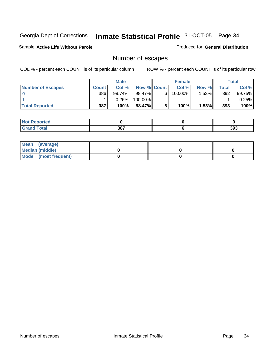Sample **Active Life Without Parole** 

Produced for **General Distribution**

### Number of escapes

|                          | <b>Male</b>  |           | <b>Female</b>      |   |            | Total   |       |          |
|--------------------------|--------------|-----------|--------------------|---|------------|---------|-------|----------|
| <b>Number of Escapes</b> | <b>Count</b> | Col %     | <b>Row % Count</b> |   | Col %      | Row %   | Total | Col %    |
|                          | 386          | $99.74\%$ | 98.47%             | 6 | $100.00\%$ | $.53\%$ | 392   | 99.75%   |
|                          |              | 0.26%     | 100.00%            |   |            |         |       | $0.25\%$ |
| <b>Total Reported</b>    | 387          | 100%      | $98.47\%$          |   | 100%       | 1.53%   | 393   | 100%     |

| the seat of the<br>rtea<br>NO: |     |     |
|--------------------------------|-----|-----|
| <b>Total</b><br>Grand          | 387 | 393 |

| Mean (average)       |  |  |
|----------------------|--|--|
| Median (middle)      |  |  |
| Mode (most frequent) |  |  |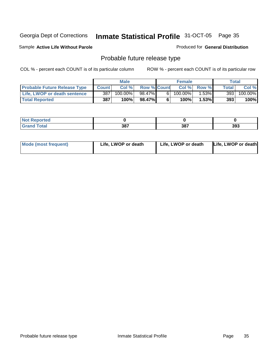#### Sample **Active Life Without Parole**

#### Produced for **General Distribution**

### Probable future release type

|                                     | <b>Male</b>  |         | <b>Female</b>      |   | Total      |         |              |                       |
|-------------------------------------|--------------|---------|--------------------|---|------------|---------|--------------|-----------------------|
| <b>Probable Future Release Type</b> | <b>Count</b> | Col %   | <b>Row % Count</b> |   | Col %      | Row %   | <b>Total</b> | Col %                 |
| Life, LWOP or death sentence        | 387          | 100.00% | 98.47%             | 6 | $100.00\%$ | $.53\%$ | 393          | $100.\overline{00\%}$ |
| <b>Total Reported</b>               | 387          | 100%    | 98.47%             | 6 | 100%       | 1.53%   | 393          | 100%                  |

| orted       |               |     |     |
|-------------|---------------|-----|-----|
| <b>otal</b> | 207<br>່ ၁၀ ၊ | 387 | 393 |

| Mode (most frequent) | Life, LWOP or death | Life, LWOP or death | Life, LWOP or death |
|----------------------|---------------------|---------------------|---------------------|
|----------------------|---------------------|---------------------|---------------------|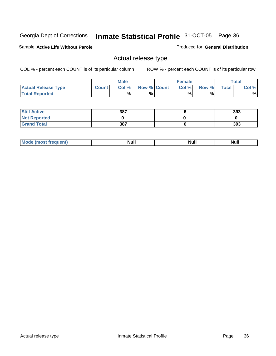Sample **Active Life Without Parole** 

Produced for **General Distribution**

# Actual release type

|                            |              | Male  |                    | Female |       |              | $\tau$ otal |
|----------------------------|--------------|-------|--------------------|--------|-------|--------------|-------------|
| <b>Actual Release Type</b> | <b>Count</b> | Col % | <b>Row % Count</b> | Col %  | Row % | <b>Total</b> | Col %       |
| <b>Total Reported</b>      |              | %     | %                  | %      | %     |              | %           |

| <b>Still Active</b> | 387 | 393 |
|---------------------|-----|-----|
| <b>Not Reported</b> |     |     |
| <b>Grand Total</b>  | 387 | 393 |

| M | 14H | <b>IVUII</b> | 11WH |
|---|-----|--------------|------|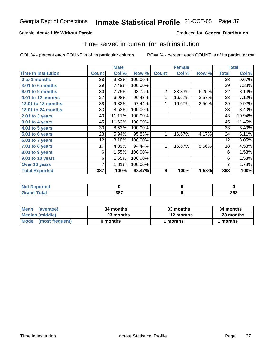### Sample **Active Life Without Parole**

### Produced for **General Distribution**

# Time served in current (or last) institution

|                            |              | <b>Male</b> |         |                 | <b>Female</b> |       |              | <b>Total</b> |
|----------------------------|--------------|-------------|---------|-----------------|---------------|-------|--------------|--------------|
| <b>Time In Institution</b> | <b>Count</b> | Col %       | Row %   | <b>Count</b>    | Col %         | Row % | <b>Total</b> | Col %        |
| 0 to 3 months              | 38           | 9.82%       | 100.00% |                 |               |       | 38           | 9.67%        |
| <b>3.01 to 6 months</b>    | 29           | 7.49%       | 100.00% |                 |               |       | 29           | 7.38%        |
| 6.01 to 9 months           | 30           | 7.75%       | 93.75%  | $\overline{2}$  | 33.33%        | 6.25% | 32           | 8.14%        |
| 9.01 to 12 months          | 27           | 6.98%       | 96.43%  | 1               | 16.67%        | 3.57% | 28           | 7.12%        |
| 12.01 to 18 months         | 38           | 9.82%       | 97.44%  | 1               | 16.67%        | 2.56% | 39           | 9.92%        |
| 18.01 to 24 months         | 33           | 8.53%       | 100.00% |                 |               |       | 33           | 8.40%        |
| 2.01 to 3 years            | 43           | 11.11%      | 100.00% |                 |               |       | 43           | 10.94%       |
| $3.01$ to 4 years          | 45           | 11.63%      | 100.00% |                 |               |       | 45           | 11.45%       |
| 4.01 to 5 years            | 33           | 8.53%       | 100.00% |                 |               |       | 33           | 8.40%        |
| 5.01 to 6 years            | 23           | 5.94%       | 95.83%  | 1               | 16.67%        | 4.17% | 24           | 6.11%        |
| 6.01 to 7 years            | 12           | 3.10%       | 100.00% |                 |               |       | 12           | 3.05%        |
| 7.01 to 8 years            | 17           | 4.39%       | 94.44%  | 1               | 16.67%        | 5.56% | 18           | 4.58%        |
| 8.01 to 9 years            | 6            | 1.55%       | 100.00% |                 |               |       | 6            | 1.53%        |
| 9.01 to 10 years           | 6            | 1.55%       | 100.00% |                 |               |       | 6            | 1.53%        |
| Over 10 years              | 7            | 1.81%       | 100.00% |                 |               |       | 7            | 1.78%        |
| <b>Total Reported</b>      | 387          | 100%        | 98.47%  | $6\phantom{1}6$ | 100%          | 1.53% | 393          | 100%         |

| Reported<br><b>NOT</b> |            |     |
|------------------------|------------|-----|
| $f$ ota'               | 207<br>JO. | 393 |

| <b>Mean</b><br>(average) | 34 months | 33 months | 34 months |
|--------------------------|-----------|-----------|-----------|
| Median (middle)          | 23 months | 12 months | 23 months |
| Mode (most frequent)     | 0 months  | l months  | 1 months  |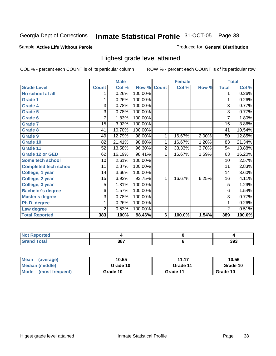#### Sample **Active Life Without Parole**

### Produced for **General Distribution**

# Highest grade level attained

|                              |                 | <b>Male</b> |                    |                | <b>Female</b> |       |                 | <b>Total</b> |
|------------------------------|-----------------|-------------|--------------------|----------------|---------------|-------|-----------------|--------------|
| <b>Grade Level</b>           | <b>Count</b>    | Col %       | <b>Row % Count</b> |                | Col %         | Row % | <b>Total</b>    | Col %        |
| No school at all             | 1               | 0.26%       | 100.00%            |                |               |       | 1               | 0.26%        |
| <b>Grade 1</b>               |                 | 0.26%       | 100.00%            |                |               |       | 1               | 0.26%        |
| <b>Grade 4</b>               | 3               | 0.78%       | 100.00%            |                |               |       | 3               | 0.77%        |
| Grade 5                      | 3               | 0.78%       | 100.00%            |                |               |       | 3               | 0.77%        |
| Grade 6                      | 7               | 1.83%       | 100.00%            |                |               |       | 7               | 1.80%        |
| <b>Grade 7</b>               | 15              | 3.92%       | 100.00%            |                |               |       | $\overline{15}$ | 3.86%        |
| <b>Grade 8</b>               | 41              | 10.70%      | 100.00%            |                |               |       | 41              | 10.54%       |
| <b>Grade 9</b>               | 49              | 12.79%      | 98.00%             | 1              | 16.67%        | 2.00% | 50              | 12.85%       |
| Grade 10                     | 82              | 21.41%      | 98.80%             | 1              | 16.67%        | 1.20% | 83              | 21.34%       |
| Grade 11                     | $\overline{52}$ | 13.58%      | 96.30%             | $\overline{2}$ | 33.33%        | 3.70% | 54              | 13.88%       |
| <b>Grade 12 or GED</b>       | 62              | 16.19%      | 98.41%             | 1              | 16.67%        | 1.59% | 63              | 16.20%       |
| <b>Some tech school</b>      | 10              | 2.61%       | 100.00%            |                |               |       | 10              | 2.57%        |
| <b>Completed tech school</b> | 11              | 2.87%       | 100.00%            |                |               |       | 11              | 2.83%        |
| College, 1 year              | 14              | 3.66%       | 100.00%            |                |               |       | 14              | 3.60%        |
| College, 2 year              | 15              | 3.92%       | 93.75%             | 1              | 16.67%        | 6.25% | 16              | 4.11%        |
| College, 3 year              | 5               | 1.31%       | 100.00%            |                |               |       | $\overline{5}$  | 1.29%        |
| <b>Bachelor's degree</b>     | 6               | 1.57%       | 100.00%            |                |               |       | 6               | 1.54%        |
| <b>Master's degree</b>       | 3               | 0.78%       | 100.00%            |                |               |       | 3               | 0.77%        |
| Ph.D. degree                 | 1               | 0.26%       | 100.00%            |                |               |       | 1               | 0.26%        |
| Law degree                   | $\overline{2}$  | 0.52%       | 100.00%            |                |               |       | $\overline{2}$  | 0.51%        |
| <b>Total Reported</b>        | 383             | 100%        | 98.46%             | 6              | 100.0%        | 1.54% | 389             | 100.0%       |

| <b>Not Reported</b>              |     |     |
|----------------------------------|-----|-----|
| <b>Total</b><br>$\mathsf{v}$ and | 387 | 393 |

| <b>Mean</b><br>(average)       | 10.55    | 11.17    | 10.56    |
|--------------------------------|----------|----------|----------|
| Median (middle)                | Grade 10 | Grade 11 | Grade 10 |
| <b>Mode</b><br>(most frequent) | Grade 10 | Grade 11 | Grade 10 |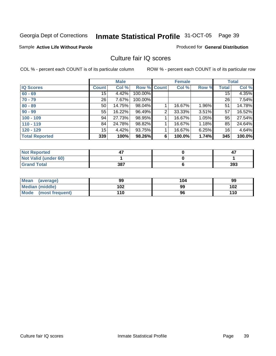#### Sample **Active Life Without Parole**

#### Produced for **General Distribution**

# Culture fair IQ scores

|                       |       | <b>Male</b> |         |                | <b>Female</b> |       |              | <b>Total</b> |
|-----------------------|-------|-------------|---------|----------------|---------------|-------|--------------|--------------|
| <b>IQ Scores</b>      | Count | Col %       | Row %   | <b>Count</b>   | Col %         | Row % | <b>Total</b> | Col %        |
| $60 - 69$             | 15    | 4.42%       | 100.00% |                |               |       | 15           | 4.35%        |
| $70 - 79$             | 26    | 7.67%       | 100.00% |                |               |       | 26           | 7.54%        |
| $80 - 89$             | 50    | 14.75%      | 98.04%  |                | 16.67%        | 1.96% | 51           | 14.78%       |
| $90 - 99$             | 55    | 16.22%      | 96.49%  | $\overline{2}$ | 33.33%        | 3.51% | 57           | 16.52%       |
| $100 - 109$           | 94    | 27.73%      | 98.95%  |                | 16.67%        | 1.05% | 95           | 27.54%       |
| $110 - 119$           | 84    | 24.78%      | 98.82%  |                | 16.67%        | 1.18% | 85           | 24.64%       |
| $120 - 129$           | 15    | 4.42%       | 93.75%  |                | 16.67%        | 6.25% | 16           | 4.64%        |
| <b>Total Reported</b> | 339   | 100%        | 98.26%  | 6              | 100.0%        | 1.74% | 345          | 100.0%       |

| <b>Not Reported</b>         |     | 47  |
|-----------------------------|-----|-----|
| <b>Not Valid (under 60)</b> |     |     |
| <b>Grand Total</b>          | 387 | 393 |

| Mean (average)         | 99  | 104 | 99  |
|------------------------|-----|-----|-----|
| <b>Median (middle)</b> | 102 | 99  | 102 |
| Mode (most frequent)   | 110 | 96  | 110 |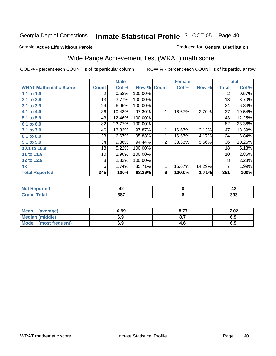Page 40

### Sample **Active Life Without Parole**

### Produced for **General Distribution**

# Wide Range Achievement Test (WRAT) math score

|                              |                | <b>Male</b> |         |                | <b>Female</b> |        |                 | <b>Total</b> |
|------------------------------|----------------|-------------|---------|----------------|---------------|--------|-----------------|--------------|
| <b>WRAT Mathematic Score</b> | <b>Count</b>   | Col %       | Row %   | <b>Count</b>   | Col %         | Row %  | <b>Total</b>    | Col %        |
| 1.1 to 1.9                   | $\overline{2}$ | 0.58%       | 100.00% |                |               |        | 2               | 0.57%        |
| 2.1 to 2.9                   | 13             | 3.77%       | 100.00% |                |               |        | 13              | 3.70%        |
| 3.1 to 3.9                   | 24             | 6.96%       | 100.00% |                |               |        | 24              | 6.84%        |
| 4.1 to 4.9                   | 36             | 10.43%      | 97.30%  |                | 16.67%        | 2.70%  | 37              | 10.54%       |
| 5.1 to 5.9                   | 43             | 12.46%      | 100.00% |                |               |        | 43              | 12.25%       |
| 6.1 to 6.9                   | 82             | 23.77%      | 100.00% |                |               |        | 82              | 23.36%       |
| 7.1 to 7.9                   | 46             | 13.33%      | 97.87%  | 1              | 16.67%        | 2.13%  | 47              | 13.39%       |
| 8.1 to 8.9                   | 23             | 6.67%       | 95.83%  | 1              | 16.67%        | 4.17%  | 24              | 6.84%        |
| 9.1 to 9.9                   | 34             | 9.86%       | 94.44%  | $\overline{2}$ | 33.33%        | 5.56%  | 36              | 10.26%       |
| 10.1 to 10.9                 | 18             | 5.22%       | 100.00% |                |               |        | 18              | 5.13%        |
| 11 to 11.9                   | 10             | 2.90%       | 100.00% |                |               |        | 10 <sup>°</sup> | 2.85%        |
| 12 to 12.9                   | 8              | 2.32%       | 100.00% |                |               |        | 8               | 2.28%        |
| 13                           | 6              | 1.74%       | 85.71%  | 1              | 16.67%        | 14.29% | 7               | 1.99%        |
| <b>Total Reported</b>        | 345            | 100%        | 98.29%  | 6              | 100.0%        | 1.71%  | 351             | 100%         |

| тес      | 44           | $-1$ |
|----------|--------------|------|
| $-0 - 1$ | - כפ<br>၁၀ ၊ | 393  |

| <b>Mean</b><br>(average) | 6.99 | $0.7 -$<br>O.1 | 7.02 |
|--------------------------|------|----------------|------|
| <b>Median (middle)</b>   | 6.9  |                | 6.9  |
| Mode<br>(most frequent)  | 6.9  | 4.C            | 6.9  |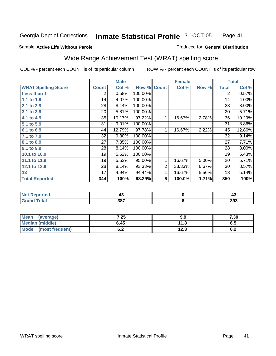### Sample **Active Life Without Parole**

### Produced for **General Distribution**

# Wide Range Achievement Test (WRAT) spelling score

|                            |                 | <b>Male</b> |         |                | <b>Female</b> |       |              | <b>Total</b> |
|----------------------------|-----------------|-------------|---------|----------------|---------------|-------|--------------|--------------|
| <b>WRAT Spelling Score</b> | <b>Count</b>    | Col %       | Row %   | <b>Count</b>   | Col %         | Row % | <b>Total</b> | Col %        |
| Less than 1                | 2               | 0.58%       | 100.00% |                |               |       | 2            | 0.57%        |
| 1.1 to 1.9                 | 14              | 4.07%       | 100.00% |                |               |       | 14           | 4.00%        |
| 2.1 to 2.9                 | 28              | 8.14%       | 100.00% |                |               |       | 28           | 8.00%        |
| 3.1 to 3.9                 | 20              | 5.81%       | 100.00% |                |               |       | 20           | 5.71%        |
| 4.1 to 4.9                 | 35              | 10.17%      | 97.22%  | 1              | 16.67%        | 2.78% | 36           | 10.29%       |
| 5.1 to 5.9                 | 31              | 9.01%       | 100.00% |                |               |       | 31           | 8.86%        |
| 6.1 to 6.9                 | 44              | 12.79%      | 97.78%  | $\mathbf 1$    | 16.67%        | 2.22% | 45           | 12.86%       |
| 7.1 to 7.9                 | $\overline{32}$ | 9.30%       | 100.00% |                |               |       | 32           | 9.14%        |
| 8.1 to 8.9                 | 27              | 7.85%       | 100.00% |                |               |       | 27           | 7.71%        |
| 9.1 to 9.9                 | 28              | 8.14%       | 100.00% |                |               |       | 28           | 8.00%        |
| 10.1 to 10.9               | 19              | 5.52%       | 100.00% |                |               |       | 19           | 5.43%        |
| 11.1 to 11.9               | 19              | 5.52%       | 95.00%  | $\mathbf{1}$   | 16.67%        | 5.00% | 20           | 5.71%        |
| 12.1 to 12.9               | 28              | 8.14%       | 93.33%  | $\overline{2}$ | 33.33%        | 6.67% | 30           | 8.57%        |
| 13                         | 17              | 4.94%       | 94.44%  | 1              | 16.67%        | 5.56% | 18           | 5.14%        |
| <b>Total Reported</b>      | 344             | 100%        | 98.29%  | 6              | 100.0%        | 1.71% | 350          | 100%         |
|                            |                 |             |         |                |               |       |              |              |
| <b>Not Reported</b>        |                 | 43          |         |                | $\pmb{0}$     |       |              | 43           |
| <b>Grand Total</b>         |                 | 387         |         |                | $\bf 6$       |       |              | 393          |

| <b>Mean</b><br>(average) | 7.25 | 9.9  | 7.30 |
|--------------------------|------|------|------|
| <b>Median (middle)</b>   | 6.45 | 11.8 | ხ.J  |
| Mode<br>(most frequent)  | v.z  | 12.3 | υ.Ζ  |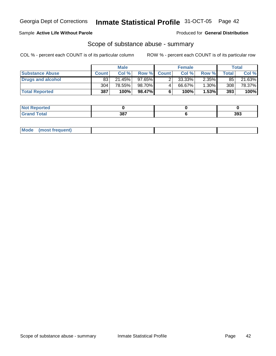### Sample **Active Life Without Parole**

Produced for **General Distribution**

# Scope of substance abuse - summary

|                        |              | <b>Male</b> |           | <b>Female</b> |           |          | <b>Total</b> |        |
|------------------------|--------------|-------------|-----------|---------------|-----------|----------|--------------|--------|
| <b>Substance Abuse</b> | <b>Count</b> | Col%        |           | Row % Count   | Col %     | Row %    | Total        | Col %  |
| Drugs and alcohol      | 83           | 21.45%      | $97.65\%$ |               | $33.33\%$ | $2.35\%$ | 85           | 21.63% |
|                        | 304          | 78.55%      | 98.70%    |               | 66.67%    | 1.30%    | 308          | 78.37% |
| <b>Total Reported</b>  | 387          | 100%        | 98.47%    |               | 100%      | $1.53\%$ | 393          | 100%   |

| <b>Not Reported</b> |     |     |
|---------------------|-----|-----|
| <b>Grand Total</b>  | 387 | 393 |

| Mode | (most frequent)<br><u>in and the second second second second second second second second second second second second second second second second second second second second second second second second second second second second second second </u> |  |  |
|------|---------------------------------------------------------------------------------------------------------------------------------------------------------------------------------------------------------------------------------------------------------|--|--|
|      |                                                                                                                                                                                                                                                         |  |  |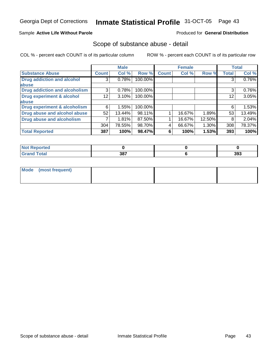### Sample **Active Life Without Parole**

### Produced for **General Distribution**

## Scope of substance abuse - detail

|                                      |              | <b>Male</b> |         |              | <b>Female</b> |          |              | <b>Total</b> |
|--------------------------------------|--------------|-------------|---------|--------------|---------------|----------|--------------|--------------|
| <b>Substance Abuse</b>               | <b>Count</b> | Col %       | Row %   | <b>Count</b> | Col %         | Row %    | <b>Total</b> | Col %        |
| <b>Drug addiction and alcohol</b>    | 3            | 0.78%       | 100.00% |              |               |          |              | 0.76%        |
| abuse                                |              |             |         |              |               |          |              |              |
| <b>Drug addiction and alcoholism</b> | 3            | 0.78%       | 100.00% |              |               |          | 3            | 0.76%        |
| Drug experiment & alcohol            | 12           | 3.10%       | 100.00% |              |               |          | 12           | 3.05%        |
| <b>labuse</b>                        |              |             |         |              |               |          |              |              |
| Drug experiment & alcoholism         | 6            | 1.55%       | 100.00% |              |               |          | 6            | 1.53%        |
| Drug abuse and alcohol abuse         | 52           | 13.44%      | 98.11%  |              | 16.67%        | 1.89%    | 53           | 13.49%       |
| <b>Drug abuse and alcoholism</b>     |              | 1.81%       | 87.50%  |              | 16.67%        | 12.50%   | 8            | 2.04%        |
|                                      | 304          | 78.55%      | 98.70%  |              | 66.67%        | $1.30\%$ | 308          | 78.37%       |
| <b>Total Reported</b>                | 387          | 100%        | 98.47%  | 6            | 100%          | 1.53%    | 393          | 100%         |

| Reported<br>. |     |     |
|---------------|-----|-----|
| <b>ota</b>    | 387 | 393 |

| Mode (most frequent) |  |  |
|----------------------|--|--|
|                      |  |  |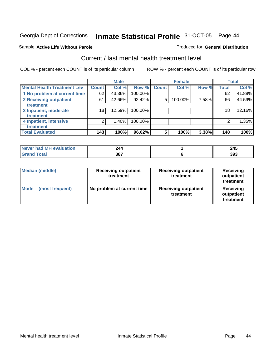### Sample **Active Life Without Parole**

# Current / last mental health treatment level

COL % - percent each COUNT is of its particular column ROW % - percent each COUNT is of its particular row

Produced for **General Distribution**

|                                    |                 | <b>Male</b> |            |              | <b>Female</b> |       |              | <b>Total</b> |
|------------------------------------|-----------------|-------------|------------|--------------|---------------|-------|--------------|--------------|
| <b>Mental Health Treatment Lev</b> | <b>Count</b>    | Col %       | Row %      | <b>Count</b> | Col %         | Row % | <b>Total</b> | Col %        |
| 1 No problem at current time       | 62              | 43.36%      | 100.00%    |              |               |       | 62           | 41.89%       |
| 2 Receiving outpatient             | 61              | 42.66%      | 92.42%     | 5            | 100.00%       | 7.58% | 66           | 44.59%       |
| treatment                          |                 |             |            |              |               |       |              |              |
| 3 Inpatient, moderate              | 18 <sub>1</sub> | 12.59%      | 100.00%    |              |               |       | 18           | 12.16%       |
| treatment                          |                 |             |            |              |               |       |              |              |
| 4 Inpatient, intensive             | 2               | 1.40%       | $100.00\%$ |              |               |       |              | 1.35%        |
| treatment                          |                 |             |            |              |               |       |              |              |
| <b>Total Evaluated</b>             | 143             | 100%        | 96.62%     | 5            | 100%          | 3.38% | 148          | 100%         |

| Never had MH evaluation | 244 | 245 |
|-------------------------|-----|-----|
| Total<br>. Grar         | 387 | 393 |

| <b>Median (middle)</b>  | <b>Receiving outpatient</b><br>treatment | <b>Receiving outpatient</b><br>treatment | Receiving<br>outpatient<br>treatment |  |
|-------------------------|------------------------------------------|------------------------------------------|--------------------------------------|--|
| Mode<br>(most frequent) | No problem at current time               | <b>Receiving outpatient</b><br>treatment | Receiving<br>outpatient<br>treatment |  |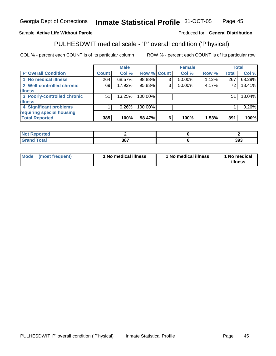### Sample **Active Life Without Parole**

### Produced for **General Distribution**

# PULHESDWIT medical scale - 'P' overall condition ('P'hysical)

|                             |              | <b>Male</b> |             |   | <b>Female</b> |       |              | <b>Total</b> |
|-----------------------------|--------------|-------------|-------------|---|---------------|-------|--------------|--------------|
| <b>P' Overall Condition</b> | <b>Count</b> | Col %       | Row % Count |   | Col %         | Row % | <b>Total</b> | Col %        |
| 1 No medical illness        | 264          | 68.57%      | 98.88%      | 3 | 50.00%        | 1.12% | 267          | 68.29%       |
| 2 Well-controlled chronic   | 69           | 17.92%      | 95.83%      | ົ | 50.00%        | 4.17% | 72           | 18.41%       |
| <b>illness</b>              |              |             |             |   |               |       |              |              |
| 3 Poorly-controlled chronic | 51           | $13.25\%$   | 100.00%     |   |               |       | 51           | 13.04%       |
| <b>illness</b>              |              |             |             |   |               |       |              |              |
| 4 Significant problems      |              | $0.26\%$    | 100.00%     |   |               |       |              | 0.26%        |
| requiring special housing   |              |             |             |   |               |       |              |              |
| <b>Total Reported</b>       | 385          | 100%        | 98.47%      | 6 | 100%          | 1.53% | 391          | 100%         |

| د ده.<br><b>Not</b><br><b>Reported</b> |            |     |
|----------------------------------------|------------|-----|
| Total<br><b>UIULU</b>                  | 207<br>JU. | 393 |

| Mode<br>(most frequent) | 1 No medical illness | 1 No medical illness | 1 No medical<br>illness |
|-------------------------|----------------------|----------------------|-------------------------|
|-------------------------|----------------------|----------------------|-------------------------|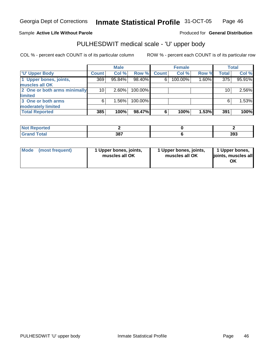### Sample **Active Life Without Parole**

### Produced for **General Distribution**

# PULHESDWIT medical scale - 'U' upper body

|                              |                 | <b>Male</b> |         |              | <b>Female</b> |       |              | <b>Total</b> |
|------------------------------|-----------------|-------------|---------|--------------|---------------|-------|--------------|--------------|
| <b>U' Upper Body</b>         | <b>Count</b>    | Col %       | Row %   | <b>Count</b> | Col %         | Row % | <b>Total</b> | Col %        |
| 1 Upper bones, joints,       | 369             | 95.84%      | 98.40%  | 6            | 100.00%       | 1.60% | 375          | 95.91%       |
| muscles all OK               |                 |             |         |              |               |       |              |              |
| 2 One or both arms minimally | 10 <sup>1</sup> | 2.60%       | 100.00% |              |               |       | 10           | 2.56%        |
| limited                      |                 |             |         |              |               |       |              |              |
| 3 One or both arms           | 6               | 1.56%       | 100.00% |              |               |       | 6            | 1.53%        |
| moderately limited           |                 |             |         |              |               |       |              |              |
| <b>Total Reported</b>        | 385             | 100%        | 98.47%  | 6            | 100%          | 1.53% | 391          | 100%         |

| <b>Not Reported</b>         |     |     |
|-----------------------------|-----|-----|
| <b>Total</b><br><b>Gran</b> | 387 | 393 |

| l Mode I | (most frequent) | 1 Upper bones, joints,<br>muscles all OK | 1 Upper bones, joints,<br>muscles all OK | 1 Upper bones,<br>joints, muscles all<br>ΟK |
|----------|-----------------|------------------------------------------|------------------------------------------|---------------------------------------------|
|----------|-----------------|------------------------------------------|------------------------------------------|---------------------------------------------|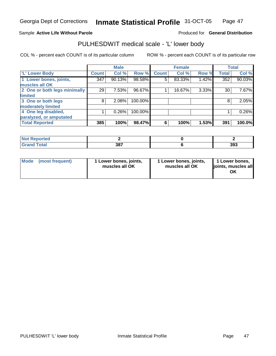### Sample **Active Life Without Parole**

### Produced for **General Distribution**

# PULHESDWIT medical scale - 'L' lower body

|                              |              | <b>Male</b> |         |              | <b>Female</b> |       |              | <b>Total</b> |
|------------------------------|--------------|-------------|---------|--------------|---------------|-------|--------------|--------------|
| 'L' Lower Body               | <b>Count</b> | Col %       | Row %   | <b>Count</b> | Col %         | Row % | <b>Total</b> | Col %        |
| 1 Lower bones, joints,       | 347          | 90.13%      | 98.58%  | 5            | 83.33%        | 1.42% | 352          | 90.03%       |
| muscles all OK               |              |             |         |              |               |       |              |              |
| 2 One or both legs minimally | 29           | 7.53%       | 96.67%  |              | 16.67%        | 3.33% | 30           | 7.67%        |
| limited                      |              |             |         |              |               |       |              |              |
| 3 One or both legs           | 8            | 2.08%       | 100.00% |              |               |       | 8            | 2.05%        |
| moderately limited           |              |             |         |              |               |       |              |              |
| 4 One leg disabled,          |              | 0.26%       | 100.00% |              |               |       |              | 0.26%        |
| paralyzed, or amputated      |              |             |         |              |               |       |              |              |
| <b>Total Reported</b>        | 385          | 100%        | 98.47%  | 6            | 100%          | 1.53% | 391          | 100.0%       |

| <b>Not Reported</b>                   |     |     |
|---------------------------------------|-----|-----|
| <b>Total</b><br><b>Grand</b><br>Grand | 387 | 393 |

| Mode | (most frequent) | <sup>1</sup> Lower bones, joints,<br>muscles all OK | 1 Lower bones, joints,<br>muscles all OK | 1 Lower bones,<br>joints, muscles all<br>ОK |
|------|-----------------|-----------------------------------------------------|------------------------------------------|---------------------------------------------|
|------|-----------------|-----------------------------------------------------|------------------------------------------|---------------------------------------------|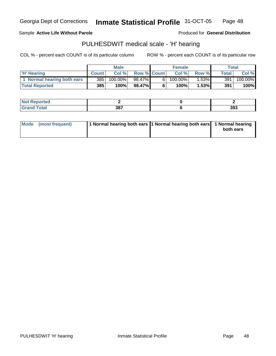Sample **Active Life Without Parole** 

Produced for **General Distribution**

# PULHESDWIT medical scale - 'H' hearing

|                            | <b>Male</b>  |            | <b>Female</b>      |    |         | Total    |              |         |
|----------------------------|--------------|------------|--------------------|----|---------|----------|--------------|---------|
| <b>H'</b> Hearing          | <b>Count</b> | Col %      | <b>Row % Count</b> |    | Col %   | Row %    | <b>Total</b> | Col %   |
| 1 Normal hearing both ears | 385          | $100.00\%$ | 98.47% <b>I</b>    | 61 | 100.00% | $1.53\%$ | 391          | 100.00% |
| <b>Total Reported</b>      | 385          | 100%       | 98.47%             | 6  | 100%    | 1.53%    | 391          | 100%    |

| <b>Not</b><br>'enorted |                      |     |
|------------------------|----------------------|-----|
| <b>Tota'</b><br>Gr2r   | 207<br>IJUI<br>$  -$ | 393 |

| Mode (most frequent) | 1 Normal hearing both ears 1 Normal hearing both ears 1 Normal hearing |           |
|----------------------|------------------------------------------------------------------------|-----------|
|                      |                                                                        | both ears |
|                      |                                                                        |           |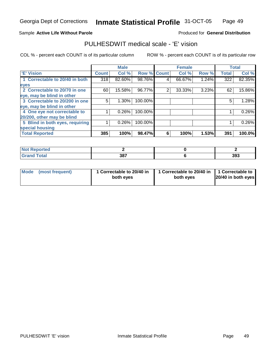### Sample **Active Life Without Parole**

### Produced for **General Distribution**

# PULHESDWIT medical scale - 'E' vision

|                                 |              | <b>Male</b> |                    |   | <b>Female</b> |       |              | <b>Total</b> |
|---------------------------------|--------------|-------------|--------------------|---|---------------|-------|--------------|--------------|
| <b>E' Vision</b>                | <b>Count</b> | Col %       | <b>Row % Count</b> |   | Col %         | Row % | <b>Total</b> | Col %        |
| 1 Correctable to 20/40 in both  | 318          | 82.60%      | 98.76%             | 4 | 66.67%        | 1.24% | 322          | 82.35%       |
| eyes                            |              |             |                    |   |               |       |              |              |
| 2 Correctable to 20/70 in one   | 60           | 15.58%      | 96.77%             | 2 | 33.33%        | 3.23% | 62           | 15.86%       |
| eye, may be blind in other      |              |             |                    |   |               |       |              |              |
| 3 Correctable to 20/200 in one  | 5            | $1.30\%$    | 100.00%            |   |               |       | 5            | 1.28%        |
| eye, may be blind in other      |              |             |                    |   |               |       |              |              |
| 4 One eye not correctable to    |              | 0.26%       | 100.00%            |   |               |       |              | 0.26%        |
| 20/200, other may be blind      |              |             |                    |   |               |       |              |              |
| 5 Blind in both eyes, requiring |              | $0.26\%$    | 100.00%            |   |               |       |              | 0.26%        |
| special housing                 |              |             |                    |   |               |       |              |              |
| <b>Total Reported</b>           | 385          | 100%        | 98.47%             | 6 | 100%          | 1.53% | 391          | 100.0%       |

| <b>Not Reported</b> |     |     |
|---------------------|-----|-----|
| <b>Grand Total</b>  | 387 | 393 |

| Mode (most frequent) | 1 Correctable to 20/40 in<br>both eyes | 1 Correctable to 20/40 in   1 Correctable to<br>both eves | 20/40 in both eyes |
|----------------------|----------------------------------------|-----------------------------------------------------------|--------------------|
|----------------------|----------------------------------------|-----------------------------------------------------------|--------------------|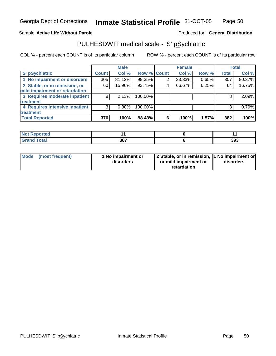### Sample **Active Life Without Parole**

### Produced for **General Distribution**

# PULHESDWIT medical scale - 'S' pSychiatric

|                                |              | <b>Male</b> |             |   | <b>Female</b> |       |              | <b>Total</b> |
|--------------------------------|--------------|-------------|-------------|---|---------------|-------|--------------|--------------|
| 'S' pSychiatric                | <b>Count</b> | Col %       | Row % Count |   | Col %         | Row % | <b>Total</b> | Col %        |
| 1 No impairment or disorders   | 305          | $81.12\%$   | 99.35%      |   | 33.33%        | 0.65% | 307          | 80.37%       |
| 2 Stable, or in remission, or  | 60           | 15.96%      | 93.75%      | 4 | 66.67%        | 6.25% | 64           | 16.75%       |
| mild impairment or retardation |              |             |             |   |               |       |              |              |
| 3 Requires moderate inpatient  | 8            | 2.13%       | 100.00%     |   |               |       | 8            | 2.09%        |
| treatment                      |              |             |             |   |               |       |              |              |
| 4 Requires intensive inpatient | 3            | $0.80\%$    | 100.00%     |   |               |       | 3            | 0.79%        |
| treatment                      |              |             |             |   |               |       |              |              |
| <b>Total Reported</b>          | 376          | 100%        | 98.43%      | 6 | 100%          | 1.57% | 382          | 100%         |

| <b>rted</b>                      |     |     |
|----------------------------------|-----|-----|
| <b>fotal</b><br>$\mathbf{v}$ and | 387 | 393 |

| Mode (most frequent) | 1 No impairment or<br>disorders | 2 Stable, or in remission, 1 No impairment or<br>or mild impairment or | disorders |  |
|----------------------|---------------------------------|------------------------------------------------------------------------|-----------|--|
|                      |                                 | retardation                                                            |           |  |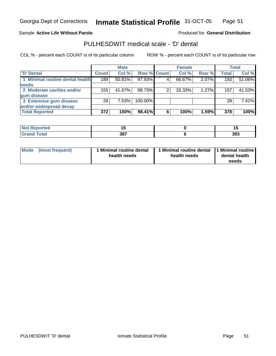### Sample **Active Life Without Parole**

### Produced for **General Distribution**

# PULHESDWIT medical scale - 'D' dental

|                                 |              | <b>Male</b> |                    |   | <b>Female</b> |       |              | <b>Total</b> |
|---------------------------------|--------------|-------------|--------------------|---|---------------|-------|--------------|--------------|
| <b>D' Dental</b>                | <b>Count</b> | Col %       | <b>Row % Count</b> |   | Col %         | Row % | <b>Total</b> | Col %        |
| 1 Minimal routine dental health | 189          | $50.81\%$   | 97.93%             |   | 66.67%        | 2.07% | 193          | 51.06%       |
| <b>needs</b>                    |              |             |                    |   |               |       |              |              |
| 2 Moderate cavities and/or      | 155          | 41.67%      | 98.73%             |   | 33.33%        | 1.27% | 157          | 41.53%       |
| gum disease                     |              |             |                    |   |               |       |              |              |
| 3 Extensive gum disease         | 28           | 7.53%       | 100.00%            |   |               |       | 28           | 7.41%        |
| and/or widespread decay         |              |             |                    |   |               |       |              |              |
| <b>Total Reported</b>           | 372          | 100%        | 98.41%             | 6 | 100%          | 1.59% | 378          | 100%         |

| N.<br>ттео                |     | .,  |
|---------------------------|-----|-----|
| $int^{\bullet}$<br>______ | 387 | 393 |

| Mode            | 1 Minimal routine dental | Minimal routine dental  1 Minimal routine | dental health |
|-----------------|--------------------------|-------------------------------------------|---------------|
| (most frequent) | health needs             | health needs                              | needs         |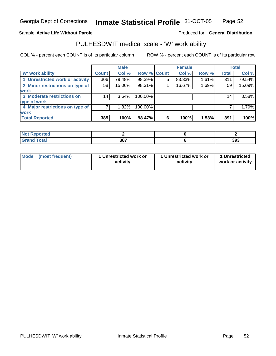### Sample **Active Life Without Parole**

### Produced for **General Distribution**

# PULHESDWIT medical scale - 'W' work ability

|                                 |              | <b>Male</b> |             |   | <b>Female</b> |       |              | Total  |
|---------------------------------|--------------|-------------|-------------|---|---------------|-------|--------------|--------|
| <b>W'</b> work ability          | <b>Count</b> | Col %       | Row % Count |   | Col %         | Row % | <b>Total</b> | Col %  |
| 1 Unrestricted work or activity | 306          | 79.48%      | 98.39%      | 5 | 83.33%        | 1.61% | 311          | 79.54% |
| 2 Minor restrictions on type of | 58           | 15.06%      | 98.31%      |   | 16.67%        | 1.69% | 59           | 15.09% |
| <b>work</b>                     |              |             |             |   |               |       |              |        |
| 3 Moderate restrictions on      | 14           | $3.64\%$    | 100.00%     |   |               |       | 14           | 3.58%  |
| type of work                    |              |             |             |   |               |       |              |        |
| 4 Major restrictions on type of |              | 1.82%       | 100.00%     |   |               |       |              | 1.79%  |
| <b>work</b>                     |              |             |             |   |               |       |              |        |
| <b>Total Reported</b>           | 385          | 100%        | 98.47%      | 6 | 100%          | 1.53% | 391          | 100%   |

| ਾ∩rted <b>ਜ</b>                  |     |     |
|----------------------------------|-----|-----|
| <b>Total</b><br>$\mathbf{v}$ and | 387 | 393 |

| Mode            | 1 Unrestricted work or | 1 Unrestricted work or | 1 Unrestricted   |
|-----------------|------------------------|------------------------|------------------|
| (most frequent) | activity               | activity               | work or activity |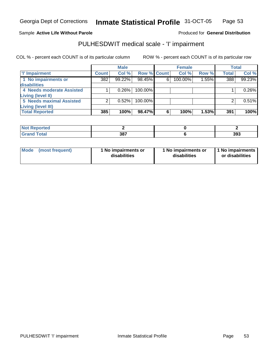### Sample **Active Life Without Parole**

### Produced for **General Distribution**

# PULHESDWIT medical scale - 'I' impairment

|                                 |              | <b>Male</b> |             |   | <b>Female</b> |       |              | <b>Total</b> |
|---------------------------------|--------------|-------------|-------------|---|---------------|-------|--------------|--------------|
| <b>T' Impairment</b>            | <b>Count</b> | Col %       | Row % Count |   | Col %         | Row % | <b>Total</b> | Col %        |
| 1 No impairments or             | 382          | 99.22%      | 98.45%      | 6 | 100.00%       | 1.55% | 388          | 99.23%       |
| disabilities                    |              |             |             |   |               |       |              |              |
| 4 Needs moderate Assisted       |              | 0.26%       | 100.00%     |   |               |       |              | 0.26%        |
| Living (level II)               |              |             |             |   |               |       |              |              |
| <b>5 Needs maximal Assisted</b> |              | 0.52%       | 100.00%     |   |               |       |              | 0.51%        |
| Living (level III)              |              |             |             |   |               |       |              |              |
| <b>Total Reported</b>           | 385          | 100%        | 98.47%      | 6 | 100%          | 1.53% | 391          | 100%         |

| orted<br><b>NOT</b>   |     |     |
|-----------------------|-----|-----|
| <b>otal</b><br>______ | 387 | 393 |

| <b>Mode</b>     | 1 No impairments or | 1 No impairments or | I 1 No impairments |
|-----------------|---------------------|---------------------|--------------------|
| (most frequent) | disabilities        | disabilities        | or disabilities    |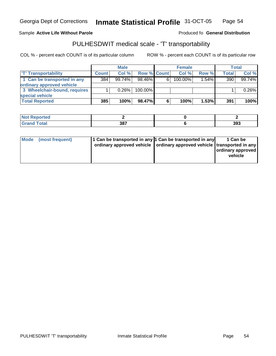Georgia Dept of Corrections

**Inmate Statistical Profile** 31-OCT-05 Page Page 54

### Sample Active Life Without Parole **Active Life Without Parole Active Life Without Parole Active Active Produced fo General Distribution**

# PULHESDWIT medical scale - 'T' transportability

|                              |              | <b>Male</b> |             |   | <b>Female</b> |          |       | Total  |
|------------------------------|--------------|-------------|-------------|---|---------------|----------|-------|--------|
| <b>T' Transportability</b>   | <b>Count</b> | Col%        | Row % Count |   | Col%          | Row %    | Total | Col %  |
| 1 Can be transported in any  | 384          | 99.74%      | $98.46\%$   | 6 | $100.00\%$    | $1.54\%$ | 390   | 99.74% |
| ordinary approved vehicle    |              |             |             |   |               |          |       |        |
| 3 Wheelchair-bound, requires |              | 0.26%       | $100.00\%$  |   |               |          |       | 0.26%  |
| special vehicle              |              |             |             |   |               |          |       |        |
| <b>Total Reported</b>        | 385          | 100%        | 98.47%      | 6 | 100%          | 1.53%    | 391   | 100%   |

| <b>ported</b>           |     |     |
|-------------------------|-----|-----|
| <b>Total</b><br>$C$ ror | 387 | 393 |

|  | Mode (most frequent) | 1 Can be transported in any 1 Can be transported in any<br>ordinary approved vehicle   ordinary approved vehicle   transported in any |  | 1 Can be<br><b>ordinary approved</b><br>vehicle |
|--|----------------------|---------------------------------------------------------------------------------------------------------------------------------------|--|-------------------------------------------------|
|--|----------------------|---------------------------------------------------------------------------------------------------------------------------------------|--|-------------------------------------------------|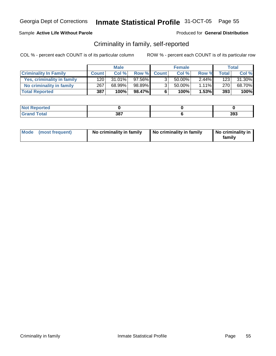### Sample **Active Life Without Parole**

Produced for **General Distribution**

# Criminality in family, self-reported

|                              | <b>Male</b>      |           | <b>Female</b> |                |        | <b>Total</b> |                  |        |
|------------------------------|------------------|-----------|---------------|----------------|--------|--------------|------------------|--------|
| <b>Criminality In Family</b> | <b>Count</b>     | Col %     |               | Row % Count    | Col %  | Row %        | <b>Total</b>     | Col %  |
| Yes, criminality in family   | 120 <sub>1</sub> | $31.01\%$ | 97.56%        | 3 <sub>1</sub> | 50.00% | $2.44\%$     | 123 <sub>1</sub> | 31.30% |
| No criminality in family     | 267              | 68.99%    | 98.89%        | 3 <sub>1</sub> | 50.00% | $1.11\%$     | 270              | 68.70% |
| <b>Total Reported</b>        | 387              | 100%      | 98.47%        | 6              | 100%   | 1.53%        | 393              | 100%   |

| $\sim$ $\sim$ $\sim$ $\sim$<br>- - - | 207<br>JС<br>$  -$ | 393 |
|--------------------------------------|--------------------|-----|

| Mode (most frequent) | No criminality in family | No criminality in family | No criminality in<br>family |
|----------------------|--------------------------|--------------------------|-----------------------------|
|----------------------|--------------------------|--------------------------|-----------------------------|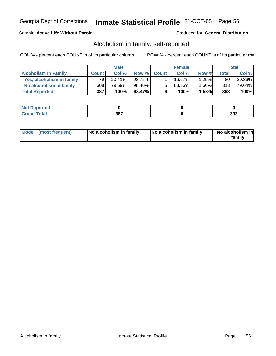### Sample **Active Life Without Parole**

### Produced for **General Distribution**

# Alcoholism in family, self-reported

|                             | <b>Male</b>  |           | <b>Female</b> |             |        | Total |         |           |
|-----------------------------|--------------|-----------|---------------|-------------|--------|-------|---------|-----------|
| <b>Alcoholism In Family</b> | <b>Count</b> | Col %     |               | Row % Count | Col %  | Row % | Total i | Col %     |
| Yes, alcoholism in family   | 79           | $20.41\%$ | 98.75%        |             | 16.67% | 1.25% | 80      | $20.36\%$ |
| No alcoholism in family     | 308          | 79.59%    | 98.40%I       | 5           | 83.33% | 1.60% | 313     | 79.64%    |
| <b>Total Reported</b>       | 387          | 100%      | 98.47%        | 6           | 100%   | 1.53% | 393     | $100\%$   |

| <b>rted</b>                      |     |     |
|----------------------------------|-----|-----|
| $\mathcal{L}$ at all<br>$\sim$ . | 387 | 393 |

| Mode (most frequent)<br>No alcoholism in family | No alcoholism in family | No alcoholism in<br>familv |
|-------------------------------------------------|-------------------------|----------------------------|
|-------------------------------------------------|-------------------------|----------------------------|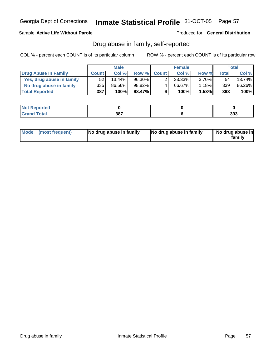### Sample **Active Life Without Parole**

Produced for **General Distribution**

# Drug abuse in family, self-reported

|                           | <b>Male</b>  |           | <b>Female</b> |              |        | Total    |              |           |
|---------------------------|--------------|-----------|---------------|--------------|--------|----------|--------------|-----------|
| Drug Abuse In Family      | <b>Count</b> | Col %     | Row %         | <b>Count</b> | Col %  | Row %    | <b>Total</b> | Col %     |
| Yes, drug abuse in family | 52           | $13.44\%$ | 96.30%        |              | 33.33% | $3.70\%$ | 54           | $13.74\%$ |
| No drug abuse in family   | 335          | 86.56%    | 98.82%        | 4            | 66.67% | 1.18%    | 339          | 86.26%    |
| <b>Total Reported</b>     | 387          | 100%      | 98.47%        | 6            | 100%   | 1.53%    | 393          | 100%      |

| <b>rted</b>                      |     |     |
|----------------------------------|-----|-----|
| $\mathcal{L}$ at all<br>$\sim$ . | 387 | 393 |

| Mode (most frequent)<br>No drug abuse in family | No drug abuse in family | No drug abuse in<br>familv |
|-------------------------------------------------|-------------------------|----------------------------|
|-------------------------------------------------|-------------------------|----------------------------|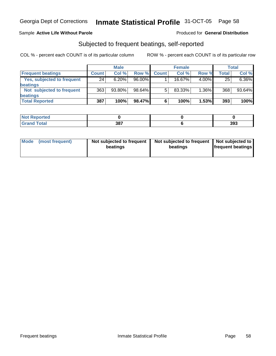### Sample **Active Life Without Parole**

### Produced for **General Distribution**

# Subjected to frequent beatings, self-reported

|                            |              | <b>Male</b> |           |              | <b>Female</b> |          |              | <b>Total</b> |
|----------------------------|--------------|-------------|-----------|--------------|---------------|----------|--------------|--------------|
| <b>Frequent beatings</b>   | <b>Count</b> | Col%        | Row %     | <b>Count</b> | Col%          | Row %    | <b>Total</b> | Col %        |
| Yes, subjected to frequent | 24           | 6.20%       | $96.00\%$ |              | 16.67%        | 4.00%    | 25           | 6.36%        |
| beatings                   |              |             |           |              |               |          |              |              |
| Not subjected to frequent  | 363          | 93.80%      | 98.64%    | 5            | 83.33%        | $1.36\%$ | 368          | $93.64\%$    |
| beatings                   |              |             |           |              |               |          |              |              |
| <b>Total Reported</b>      | 387          | 100%        | 98.47%    | 6            | 100%          | 1.53%    | 393          | 100%         |

| <b>Not Reported</b><br>$\sim$ |     |     |
|-------------------------------|-----|-----|
| <b>Grand Total</b><br>Cror    | 387 | 393 |

| Mode | (most frequent) | Not subjected to frequent  <br>beatings | Not subjected to frequent   Not subjected to  <br>beatings | <b>frequent beatings</b> |
|------|-----------------|-----------------------------------------|------------------------------------------------------------|--------------------------|
|------|-----------------|-----------------------------------------|------------------------------------------------------------|--------------------------|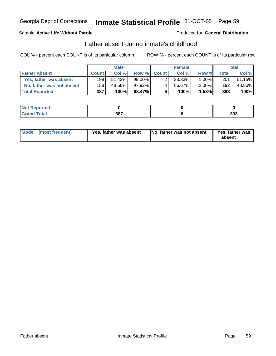### Sample **Active Life Without Parole**

### Produced for **General Distribution**

# Father absent during inmate's childhood

|                           | <b>Male</b>  |           | <b>Female</b> |             |        | Total    |              |        |
|---------------------------|--------------|-----------|---------------|-------------|--------|----------|--------------|--------|
| <b>Father Absent</b>      | <b>Count</b> | Col %     |               | Row % Count | Col %  | Row %    | <b>Total</b> | Col %  |
| Yes, father was absent    | 1991         | $51.42\%$ | 99.00%        |             | 33.33% | $1.00\%$ | 201          | 51.15% |
| No, father was not absent | 188          | 48.58%    | 97.92%        | 4           | 66.67% | 2.08%    | 192          | 48.85% |
| <b>Total Reported</b>     | 387          | 100%      | 98.47%        | 6           | 100%   | 1.53%    | 393          | 100%   |

| <b>rted</b>                      |     |     |
|----------------------------------|-----|-----|
| $\mathcal{L}$ at all<br>$\sim$ . | 387 | 393 |

| Mode (most frequent) | Yes, father was absent | No, father was not absent | Yes, father was<br>absent |
|----------------------|------------------------|---------------------------|---------------------------|
|----------------------|------------------------|---------------------------|---------------------------|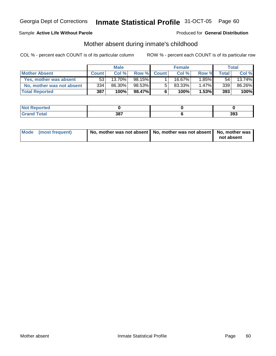### Sample **Active Life Without Parole**

### Produced for **General Distribution**

# Mother absent during inmate's childhood

|                           | <b>Male</b>  |           | <b>Female</b> |              |        | <b>Total</b> |       |           |
|---------------------------|--------------|-----------|---------------|--------------|--------|--------------|-------|-----------|
| <b>Mother Absent</b>      | <b>Count</b> | Col %     | Row %         | <b>Count</b> | Col %  | Row %        | Total | Col %     |
| Yes, mother was absent    | 53           | $13.70\%$ | 98.15%        |              | 16.67% | $1.85\%$     | 54    | $13.74\%$ |
| No, mother was not absent | 334          | 86.30%    | 98.53%        | 5            | 83.33% | 1.47%        | 339   | 86.26%    |
| <b>Total Reported</b>     | 387          | 100%      | 98.47%        | 6            | 100%   | 1.53%        | 393   | 100%      |

| orted<br>NO.                     |     |     |  |
|----------------------------------|-----|-----|--|
| $f$ $f \circ f \circ f$<br>_____ | 387 | 393 |  |

| Mode (most frequent) | No, mother was not absent   No, mother was not absent   No, mother was |            |
|----------------------|------------------------------------------------------------------------|------------|
|                      |                                                                        | not absent |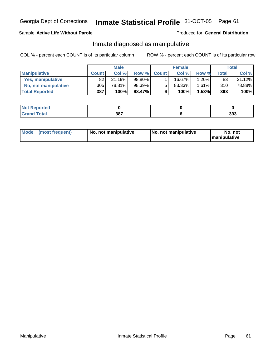### Sample **Active Life Without Parole**

### Produced for **General Distribution**

# Inmate diagnosed as manipulative

|                       | <b>Male</b>  |        |        |             | Female | Total    |       |        |
|-----------------------|--------------|--------|--------|-------------|--------|----------|-------|--------|
| <b>Manipulative</b>   | <b>Count</b> | Col %  |        | Row % Count | Col %  | Row %    | Total | Col %  |
| Yes, manipulative     | 82           | 21.19% | 98.80% |             | 16.67% | $1.20\%$ | 83    | 21.12% |
| No, not manipulative  | 305          | 78.81% | 98.39% | 5           | 83.33% | 1.61%    | 310   | 78.88% |
| <b>Total Reported</b> | 387          | 100%   | 98.47% | 6           | 100%   | $1.53\%$ | 393   | 100%   |

| <b>rted</b>          |     |     |  |
|----------------------|-----|-----|--|
| المفمئر<br>$- \cdot$ | 387 | 393 |  |

| Mode | (most frequent) | No. not manipulative | <b>I</b> No. not manipulative | not<br>No<br><b>Imanipulative</b> |
|------|-----------------|----------------------|-------------------------------|-----------------------------------|
|------|-----------------|----------------------|-------------------------------|-----------------------------------|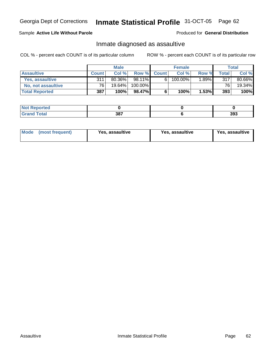### Sample **Active Life Without Parole**

### Produced for **General Distribution**

# Inmate diagnosed as assaultive

|                       | <b>Male</b>     |           |         | <b>Female</b> |         |       | Total           |        |
|-----------------------|-----------------|-----------|---------|---------------|---------|-------|-----------------|--------|
| <b>Assaultive</b>     | <b>Count</b>    | Col %     |         | Row % Count   | Col %   | Row % | <b>Total</b>    | Col %  |
| Yes. assaultive       | 311             | 80.36%    | 98.11%  | 6             | 100.00% | 1.89% | 317             | 80.66% |
| No, not assaultive    | 76 <sub>1</sub> | $19.64\%$ | 100.00% |               |         |       | 76 <sub>1</sub> | 19.34% |
| <b>Total Reported</b> | 387             | 100%      | 98.47%  | 6             | 100%    | 1.53% | 393             | 100%   |

| orted<br>NO.                     |     |     |  |
|----------------------------------|-----|-----|--|
| $f$ $f \circ f \circ f$<br>_____ | 387 | 393 |  |

| <b>Mode</b><br>Yes, assaultive<br>(most frequent) | Yes, assaultive | Yes, assaultive |
|---------------------------------------------------|-----------------|-----------------|
|---------------------------------------------------|-----------------|-----------------|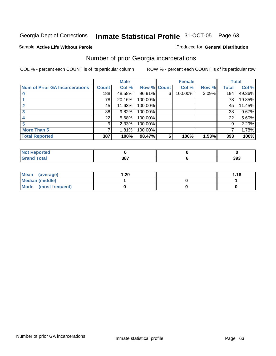### Sample **Active Life Without Parole**

### Produced for **General Distribution**

# Number of prior Georgia incarcerations

|                                       | <b>Male</b>  |        |                    |   | <b>Female</b> | <b>Total</b> |       |        |
|---------------------------------------|--------------|--------|--------------------|---|---------------|--------------|-------|--------|
| <b>Num of Prior GA Incarcerations</b> | <b>Count</b> | Col %  | <b>Row % Count</b> |   | Col %         | Row %        | Total | Col %  |
|                                       | 188          | 48.58% | 96.91%             | 6 | 100.00%       | 3.09%        | 194   | 49.36% |
|                                       | 78           | 20.16% | 100.00%            |   |               |              | 78    | 19.85% |
|                                       | 45           | 11.63% | 100.00%            |   |               |              | 45    | 11.45% |
|                                       | 38           | 9.82%  | 100.00%            |   |               |              | 38    | 9.67%  |
|                                       | 22           | 5.68%  | 100.00%            |   |               |              | 22    | 5.60%  |
|                                       | 9            | 2.33%  | 100.00%            |   |               |              | 9     | 2.29%  |
| <b>More Than 5</b>                    | 7            | 1.81%  | 100.00%            |   |               |              |       | 1.78%  |
| <b>Total Reported</b>                 | 387          | 100%   | 98.47%             | 6 | 100%          | 1.53%        | 393   | 100%   |

| ______ | 207<br>აი<br>$  -$ | 393 |
|--------|--------------------|-----|

| Mean (average)         | 20. ا | 1.18 |
|------------------------|-------|------|
| <b>Median (middle)</b> |       |      |
| Mode (most frequent)   |       |      |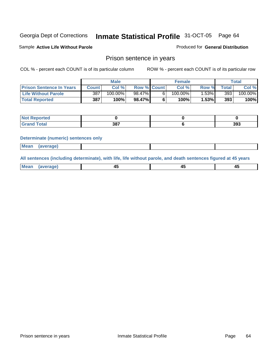Sample **Active Life Without Parole** 

Produced for **General Distribution**

# Prison sentence in years

COL % - percent each COUNT is of its particular column ROW % - percent each COUNT is of its particular row

|                                 | <b>Male</b>  |         |                    | <b>Female</b> | Total   |       |         |
|---------------------------------|--------------|---------|--------------------|---------------|---------|-------|---------|
| <b>Prison Sentence In Years</b> | <b>Count</b> | Col %   | <b>Row % Count</b> | Col %         | Row %   | Total | Col %   |
| <b>Life Without Parole</b>      | 387          | 100.00% | 98.47%             | $100.00\%$    | l.53% l | 393   | 100.00% |
| <b>Total Reported</b>           | 387          | 100%    | 98.47%             | 100%          | 1.53%   | 393   | 100%    |

| <b>orted</b>                     |     |     |
|----------------------------------|-----|-----|
| <b>Total</b><br>$\mathbf{v}$ and | 387 | 393 |

#### **Determinate (numeric) sentences only**

| <b>Mean</b> | (average) |  |  |
|-------------|-----------|--|--|
|             |           |  |  |

**All sentences (including determinate), with life, life without parole, and death sentences figured at 45 years**

| ' Mea<br>rane<br>᠇৺<br>- 1<br>--<br>$\sim$<br>$\sim$ |  |
|------------------------------------------------------|--|
|------------------------------------------------------|--|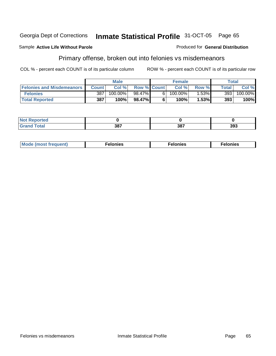#### Sample **Active Life Without Parole**

# Primary offense, broken out into felonies vs misdemeanors

COL % - percent each COUNT is of its particular column ROW % - percent each COUNT is of its particular row

Produced for **General Distribution**

|                                  |                  | <b>Male</b> |                    |    | <b>Female</b> |       |              | Total      |
|----------------------------------|------------------|-------------|--------------------|----|---------------|-------|--------------|------------|
| <b>Felonies and Misdemeanors</b> | Count I          | Col%        | <b>Row % Count</b> |    | Col%          | Row % | <b>Total</b> | Col %      |
| <b>Felonies</b>                  | 387 <sub>1</sub> | 100.00%     | 98.47%             | ĥ. | $100.00\%$    | 1.53% | 393          | $100.00\%$ |
| <b>Total Reported</b>            | 387              | 100%        | 98.47%             |    | 100%          | 1.53% | 393          | 100%       |

| <b>Not</b><br>Reported<br>   |     |            |     |
|------------------------------|-----|------------|-----|
| <b>Total</b><br><b>Grand</b> | 207 | 207<br>oo. | 393 |

| M <sub>o</sub><br>. Aduant)<br>nies<br>. | . | . |
|------------------------------------------|---|---|
|------------------------------------------|---|---|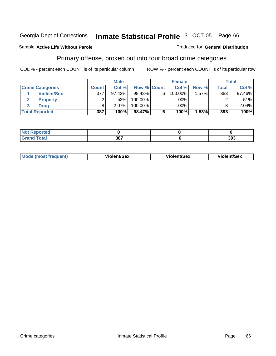#### Sample **Active Life Without Parole**

# Primary offense, broken out into four broad crime categories

COL % - percent each COUNT is of its particular column ROW % - percent each COUNT is of its particular row

Produced for **General Distribution**

|                         |              | <b>Male</b> |             |   | <b>Female</b> |          |              | Total    |
|-------------------------|--------------|-------------|-------------|---|---------------|----------|--------------|----------|
| <b>Crime Categories</b> | <b>Count</b> | Col %       | Row % Count |   | Col %         | Row %    | <b>Total</b> | Col %    |
| <b>Violent/Sex</b>      | 377          | 97.42%      | 98.43%      | 6 | 100.00%       | $1.57\%$ | 383          | 97.46%   |
| <b>Property</b>         |              | .52%        | $100.00\%$  |   | .00%          |          |              | $.51\%$  |
| <b>Drug</b>             |              | 2.07%       | $100.00\%$  |   | .00%          |          |              | $2.04\%$ |
| <b>Total Reported</b>   | 387          | 100%        | 98.47%      | 6 | 100%          | 1.53%    | 393          | 100%     |

| _ | 207 | ົ<br>ააა |
|---|-----|----------|

| <b>Mode (most frequent)</b> | <b>Violent/Sex</b> | <b>Violent/Sex</b> | <b>Violent/Sex</b> |
|-----------------------------|--------------------|--------------------|--------------------|
|                             |                    |                    |                    |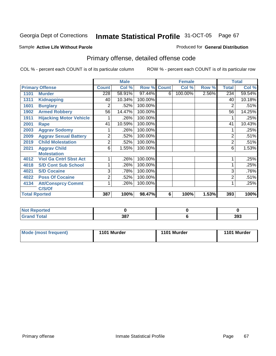#### Sample **Active Life Without Parole**

### Produced for **General Distribution**

# Primary offense, detailed offense code

|      |                                |              | <b>Male</b> |         |              | <b>Female</b> |       |                | <b>Total</b> |
|------|--------------------------------|--------------|-------------|---------|--------------|---------------|-------|----------------|--------------|
|      | <b>Primary Offense</b>         | <b>Count</b> | Col %       | Row %   | <b>Count</b> | Col %         | Row % | <b>Total</b>   | Col %        |
| 1101 | <b>Murder</b>                  | 228          | 58.91%      | 97.44%  | 6            | 100.00%       | 2.56% | 234            | 59.54%       |
| 1311 | <b>Kidnapping</b>              | 40           | 10.34%      | 100.00% |              |               |       | 40             | 10.18%       |
| 1601 | <b>Burglary</b>                | 2            | .52%        | 100.00% |              |               |       | 2              | .51%         |
| 1902 | <b>Armed Robbery</b>           | 56           | 14.47%      | 100.00% |              |               |       | 56             | 14.25%       |
| 1911 | <b>Hijacking Motor Vehicle</b> |              | .26%        | 100.00% |              |               |       |                | .25%         |
| 2001 | <b>Rape</b>                    | 41           | 10.59%      | 100.00% |              |               |       | 41             | 10.43%       |
| 2003 | <b>Aggrav Sodomy</b>           |              | .26%        | 100.00% |              |               |       |                | .25%         |
| 2009 | <b>Aggrav Sexual Battery</b>   | 2            | .52%        | 100.00% |              |               |       | $\overline{2}$ | .51%         |
| 2019 | <b>Child Molestation</b>       | 2            | .52%        | 100.00% |              |               |       | $\overline{2}$ | .51%         |
| 2021 | <b>Aggrav Child</b>            | 6            | 1.55%       | 100.00% |              |               |       | 6              | 1.53%        |
|      | <b>Molestation</b>             |              |             |         |              |               |       |                |              |
| 4012 | <b>Viol Ga Cntrl Sbst Act</b>  |              | .26%        | 100.00% |              |               |       |                | .25%         |
| 4018 | <b>S/D Cont Sub School</b>     |              | .26%        | 100.00% |              |               |       | 1              | .25%         |
| 4021 | <b>S/D Cocaine</b>             | 3            | .78%        | 100.00% |              |               |       | 3              | .76%         |
| 4022 | <b>Poss Of Cocaine</b>         | 2            | .52%        | 100.00% |              |               |       | 2              | .51%         |
| 4134 | <b>Att/Consprcy Commt</b>      |              | .26%        | 100.00% |              |               |       |                | .25%         |
|      | C/S/Of                         |              |             |         |              |               |       |                |              |
|      | <b>Total Rported</b>           | 387          | 100%        | 98.47%  | 6            | 100%          | 1.53% | 393            | 100%         |

| <b>Not</b><br>Reported<br>. |            |     |
|-----------------------------|------------|-----|
| <b>Total</b><br>' Grand     | 207<br>oo. | 393 |

| <b>Mode (most frequent)</b> | 1101 Murder | 1101 Murder | 1101 Murder |
|-----------------------------|-------------|-------------|-------------|
|-----------------------------|-------------|-------------|-------------|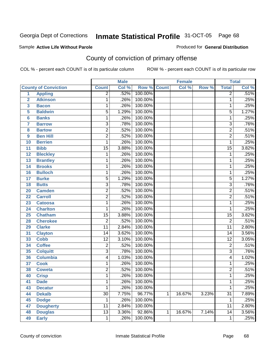### Sample **Active Life Without Parole**

Produced for **General Distribution**

# County of conviction of primary offense

|                         |                             | <b>Male</b>     |       | <b>Female</b> |              |        | <b>Total</b> |                 |                            |
|-------------------------|-----------------------------|-----------------|-------|---------------|--------------|--------|--------------|-----------------|----------------------------|
|                         | <b>County of Conviction</b> | <b>Count</b>    | Col % | Row %         | <b>Count</b> | Col %  | Row %        | <b>Total</b>    | $\overline{\text{Col }\%}$ |
| 1                       | <b>Appling</b>              | $\overline{2}$  | .52%  | 100.00%       |              |        |              | $\overline{2}$  | .51%                       |
| $\overline{2}$          | <b>Atkinson</b>             | 1               | .26%  | 100.00%       |              |        |              | $\mathbf 1$     | .25%                       |
| $\overline{\mathbf{3}}$ | <b>Bacon</b>                | 1               | .26%  | 100.00%       |              |        |              | 1               | .25%                       |
| 5                       | <b>Baldwin</b>              | $\overline{5}$  | 1.29% | 100.00%       |              |        |              | $\overline{5}$  | 1.27%                      |
| $6\phantom{a}$          | <b>Banks</b>                | 1               | .26%  | 100.00%       |              |        |              | 1               | .25%                       |
| $\overline{7}$          | <b>Barrow</b>               | $\overline{3}$  | .78%  | 100.00%       |              |        |              | $\overline{3}$  | .76%                       |
| 8                       | <b>Bartow</b>               | $\overline{2}$  | .52%  | 100.00%       |              |        |              | $\overline{2}$  | .51%                       |
| 9                       | <b>Ben Hill</b>             | $\overline{2}$  | .52%  | 100.00%       |              |        |              | $\overline{2}$  | .51%                       |
| 10                      | <b>Berrien</b>              | 1               | .26%  | 100.00%       |              |        |              | $\mathbf{1}$    | .25%                       |
| 11                      | <b>Bibb</b>                 | $\overline{15}$ | 3.88% | 100.00%       |              |        |              | $\overline{15}$ | 3.82%                      |
| 12                      | <b>Bleckley</b>             | 1               | .26%  | 100.00%       |              |        |              | $\mathbf 1$     | .25%                       |
| 13                      | <b>Brantley</b>             | 1               | .26%  | 100.00%       |              |        |              | 1               | .25%                       |
| 14                      | <b>Brooks</b>               | 1               | .26%  | 100.00%       |              |        |              | 1               | .25%                       |
| 16                      | <b>Bulloch</b>              | 1               | .26%  | 100.00%       |              |        |              | 1               | .25%                       |
| 17                      | <b>Burke</b>                | 5               | 1.29% | 100.00%       |              |        |              | $\overline{5}$  | 1.27%                      |
| 18                      | <b>Butts</b>                | $\overline{3}$  | .78%  | 100.00%       |              |        |              | $\overline{3}$  | .76%                       |
| 20                      | <b>Camden</b>               | $\overline{2}$  | .52%  | 100.00%       |              |        |              | $\overline{2}$  | .51%                       |
| 22                      | <b>Carroll</b>              | $\overline{2}$  | .52%  | 100.00%       |              |        |              | $\overline{2}$  | .51%                       |
| 23                      | <b>Catoosa</b>              | 1               | .26%  | 100.00%       |              |        |              | 1               | .25%                       |
| 24                      | <b>Charlton</b>             | 1               | .26%  | 100.00%       |              |        |              | $\mathbf{1}$    | .25%                       |
| 25                      | <b>Chatham</b>              | $\overline{15}$ | 3.88% | 100.00%       |              |        |              | $\overline{15}$ | 3.82%                      |
| 28                      | <b>Cherokee</b>             | $\overline{2}$  | .52%  | 100.00%       |              |        |              | $\overline{2}$  | .51%                       |
| 29                      | <b>Clarke</b>               | $\overline{11}$ | 2.84% | 100.00%       |              |        |              | $\overline{11}$ | 2.80%                      |
| 31                      | <b>Clayton</b>              | 14              | 3.62% | 100.00%       |              |        |              | 14              | 3.56%                      |
| 33                      | <b>Cobb</b>                 | $\overline{12}$ | 3.10% | 100.00%       |              |        |              | $\overline{12}$ | 3.05%                      |
| 34                      | <b>Coffee</b>               | $\overline{2}$  | .52%  | 100.00%       |              |        |              | $\overline{c}$  | .51%                       |
| 35                      | <b>Colquitt</b>             | $\overline{3}$  | .78%  | 100.00%       |              |        |              | $\overline{3}$  | .76%                       |
| 36                      | <b>Columbia</b>             | 4               | 1.03% | 100.00%       |              |        |              | $\overline{4}$  | 1.02%                      |
| 37                      | <b>Cook</b>                 | 1               | .26%  | 100.00%       |              |        |              | 1               | .25%                       |
| 38                      | <b>Coweta</b>               | $\overline{2}$  | .52%  | 100.00%       |              |        |              | $\overline{2}$  | .51%                       |
| 40                      | <b>Crisp</b>                | 1               | .26%  | 100.00%       |              |        |              | 1               | .25%                       |
| 41                      | <b>Dade</b>                 | 1               | .26%  | 100.00%       |              |        |              | 1               | .25%                       |
| 43                      | <b>Decatur</b>              | 1               | .26%  | 100.00%       |              |        |              | $\mathbf{1}$    | .25%                       |
| 44                      | <b>Dekalb</b>               | $\overline{30}$ | 7.75% | 96.77%        | $\mathbf{1}$ | 16.67% | 3.23%        | $\overline{31}$ | 7.89%                      |
| 45                      | <b>Dodge</b>                | 1               | .26%  | 100.00%       |              |        |              | 1               | .25%                       |
| 47                      | <b>Dougherty</b>            | 11              | 2.84% | 100.00%       |              |        |              | 11              | 2.80%                      |
| 48                      | <b>Douglas</b>              | $\overline{13}$ | 3.36% | 92.86%        | 1            | 16.67% | 7.14%        | $\overline{14}$ | 3.56%                      |
| 49                      | <b>Early</b>                | 1               | .26%  | 100.00%       |              |        |              | 1               | .25%                       |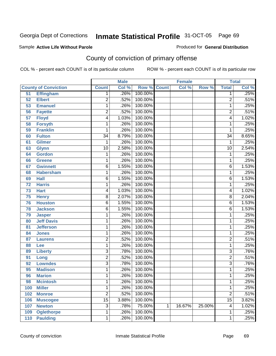### Sample **Active Life Without Parole**

Produced for **General Distribution**

# County of conviction of primary offense

|                 |                             | <b>Male</b>     |       | <b>Female</b>      |   |        | <b>Total</b> |                         |       |
|-----------------|-----------------------------|-----------------|-------|--------------------|---|--------|--------------|-------------------------|-------|
|                 | <b>County of Conviction</b> | <b>Count</b>    | Col % | <b>Row % Count</b> |   | Col %  | Row %        | <b>Total</b>            | Col % |
| 51              | <b>Effingham</b>            | 1               | .26%  | 100.00%            |   |        |              | 1                       | .25%  |
| 52              | <b>Elbert</b>               | $\overline{2}$  | .52%  | 100.00%            |   |        |              | $\overline{2}$          | .51%  |
| 53              | <b>Emanuel</b>              | 1               | .26%  | 100.00%            |   |        |              | 1                       | .25%  |
| 56              | <b>Fayette</b>              | $\overline{2}$  | .52%  | 100.00%            |   |        |              | $\overline{2}$          | .51%  |
| $\overline{57}$ | <b>Floyd</b>                | 4               | 1.03% | 100.00%            |   |        |              | $\overline{\mathbf{4}}$ | 1.02% |
| 58              | <b>Forsyth</b>              | 1               | .26%  | 100.00%            |   |        |              | 1                       | .25%  |
| 59              | <b>Franklin</b>             | 1               | .26%  | 100.00%            |   |        |              | 1                       | .25%  |
| 60              | <b>Fulton</b>               | $\overline{34}$ | 8.79% | 100.00%            |   |        |              | $\overline{34}$         | 8.65% |
| 61              | <b>Gilmer</b>               | $\mathbf 1$     | .26%  | 100.00%            |   |        |              | 1                       | .25%  |
| 63              | <b>Glynn</b>                | $\overline{10}$ | 2.58% | 100.00%            |   |        |              | $\overline{10}$         | 2.54% |
| 64              | <b>Gordon</b>               | 1               | .26%  | 100.00%            |   |        |              | $\mathbf 1$             | .25%  |
| 66              | <b>Greene</b>               | 1               | .26%  | 100.00%            |   |        |              | 1                       | .25%  |
| 67              | <b>Gwinnett</b>             | 6               | 1.55% | 100.00%            |   |        |              | $\overline{6}$          | 1.53% |
| 68              | <b>Habersham</b>            | 1               | .26%  | 100.00%            |   |        |              | 1                       | .25%  |
| 69              | <b>Hall</b>                 | 6               | 1.55% | 100.00%            |   |        |              | $\overline{6}$          | 1.53% |
| 72              | <b>Harris</b>               | 1               | .26%  | 100.00%            |   |        |              | 1                       | .25%  |
| 73              | <b>Hart</b>                 | 4               | 1.03% | 100.00%            |   |        |              | 4                       | 1.02% |
| 75              | <b>Henry</b>                | 8               | 2.07% | 100.00%            |   |        |              | $\overline{8}$          | 2.04% |
| 76              | <b>Houston</b>              | $\overline{6}$  | 1.55% | 100.00%            |   |        |              | $\overline{6}$          | 1.53% |
| 78              | <b>Jackson</b>              | 6               | 1.55% | 100.00%            |   |        |              | 6                       | 1.53% |
| 79              | <b>Jasper</b>               | 1               | .26%  | 100.00%            |   |        |              | 1                       | .25%  |
| 80              | <b>Jeff Davis</b>           | 1               | .26%  | 100.00%            |   |        |              | 1                       | .25%  |
| 81              | <b>Jefferson</b>            | 1               | .26%  | 100.00%            |   |        |              | 1                       | .25%  |
| 84              | <b>Jones</b>                | 1               | .26%  | 100.00%            |   |        |              | 1                       | .25%  |
| 87              | <b>Laurens</b>              | $\overline{2}$  | .52%  | 100.00%            |   |        |              | $\overline{2}$          | .51%  |
| 88              | Lee                         | 1               | .26%  | 100.00%            |   |        |              | 1                       | .25%  |
| 89              | <b>Liberty</b>              | $\overline{3}$  | .78%  | 100.00%            |   |        |              | $\overline{3}$          | .76%  |
| 91              | Long                        | $\overline{2}$  | .52%  | 100.00%            |   |        |              | $\overline{2}$          | .51%  |
| 92              | <b>Lowndes</b>              | $\overline{3}$  | .78%  | 100.00%            |   |        |              | $\overline{3}$          | .76%  |
| 95              | <b>Madison</b>              | 1               | .26%  | 100.00%            |   |        |              | 1                       | .25%  |
| 96              | <b>Marion</b>               | 1               | .26%  | 100.00%            |   |        |              | 1                       | .25%  |
| 98              | <b>Mcintosh</b>             | 1               | .26%  | 100.00%            |   |        |              | 1                       | .25%  |
| 100             | <b>Miller</b>               | 1               | .26%  | 100.00%            |   |        |              | 1                       | .25%  |
| 102             | <b>Monroe</b>               | $\overline{2}$  | .52%  | 100.00%            |   |        |              | $\overline{2}$          | .51%  |
| 106             | <b>Muscogee</b>             | $\overline{15}$ | 3.88% | 100.00%            |   |        |              | $\overline{15}$         | 3.82% |
| 107             | <b>Newton</b>               | 3               | .78%  | 75.00%             | 1 | 16.67% | 25.00%       | 4                       | 1.02% |
| 109             | <b>Oglethorpe</b>           | 1               | .26%  | 100.00%            |   |        |              | 1                       | .25%  |
| 110             | <b>Paulding</b>             | 1               | .26%  | 100.00%            |   |        |              | 1                       | .25%  |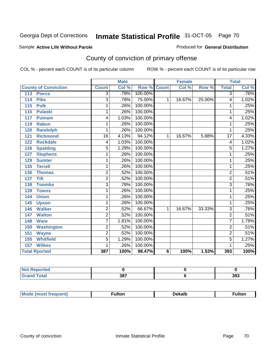#### Sample **Active Life Without Parole**

#### Produced for **General Distribution**

# County of conviction of primary offense

|                             | <b>Male</b>     |       |                    | <b>Female</b> |        |        | <b>Total</b>    |       |
|-----------------------------|-----------------|-------|--------------------|---------------|--------|--------|-----------------|-------|
| <b>County of Conviction</b> | <b>Count</b>    | Col % | <b>Row % Count</b> |               | Col %  | Row %  | <b>Total</b>    | Col % |
| 113<br><b>Pierce</b>        | $\overline{3}$  | .78%  | 100.00%            |               |        |        | $\overline{3}$  | .76%  |
| <b>Pike</b><br>114          | $\overline{3}$  | .78%  | 75.00%             | $\mathbf{1}$  | 16.67% | 25.00% | 4               | 1.02% |
| 115<br><b>Polk</b>          | 1               | .26%  | 100.00%            |               |        |        | 1               | .25%  |
| <b>Pulaski</b><br>116       | 1               | .26%  | 100.00%            |               |        |        | 1               | .25%  |
| 117<br><b>Putnam</b>        | 4               | 1.03% | 100.00%            |               |        |        | 4               | 1.02% |
| 119<br><b>Rabun</b>         | 1               | .26%  | 100.00%            |               |        |        | 1               | .25%  |
| <b>Randolph</b><br>120      | 1               | .26%  | 100.00%            |               |        |        | 1               | .25%  |
| <b>Richmond</b><br>121      | $\overline{16}$ | 4.13% | 94.12%             | 1             | 16.67% | 5.88%  | $\overline{17}$ | 4.33% |
| <b>Rockdale</b><br>122      | 4               | 1.03% | 100.00%            |               |        |        | 4               | 1.02% |
| 126<br><b>Spalding</b>      | 5               | 1.29% | 100.00%            |               |        |        | 5               | 1.27% |
| <b>Stephens</b><br>127      | 1               | .26%  | 100.00%            |               |        |        | 1               | .25%  |
| 129<br><b>Sumter</b>        | 1               | .26%  | 100.00%            |               |        |        | 1               | .25%  |
| 135<br><b>Terrell</b>       | 1               | .26%  | 100.00%            |               |        |        | 1               | .25%  |
| 136<br><b>Thomas</b>        | $\overline{2}$  | .52%  | 100.00%            |               |        |        | $\overline{2}$  | .51%  |
| <b>Tift</b><br>137          | $\overline{2}$  | .52%  | 100.00%            |               |        |        | $\overline{2}$  | .51%  |
| <b>Toombs</b><br>138        | 3               | .78%  | 100.00%            |               |        |        | $\overline{3}$  | .76%  |
| <b>Towns</b><br>139         | 1               | .26%  | 100.00%            |               |        |        | 1               | .25%  |
| <b>Union</b><br>144         | 1               | .26%  | 100.00%            |               |        |        | 1               | .25%  |
| 145<br><b>Upson</b>         | 1               | .26%  | 100.00%            |               |        |        | 1               | .25%  |
| <b>Walker</b><br>146        | $\overline{c}$  | .52%  | 66.67%             | 1             | 16.67% | 33.33% | 3               | .76%  |
| <b>Walton</b><br>147        | $\overline{2}$  | .52%  | 100.00%            |               |        |        | $\overline{2}$  | .51%  |
| <b>Ware</b><br>148          | 7               | 1.81% | 100.00%            |               |        |        | 7               | 1.78% |
| <b>Washington</b><br>150    | $\overline{2}$  | .52%  | 100.00%            |               |        |        | $\overline{2}$  | .51%  |
| 151<br><b>Wayne</b>         | $\overline{c}$  | .52%  | 100.00%            |               |        |        | $\overline{2}$  | .51%  |
| <b>Whitfield</b><br>155     | 5               | 1.29% | 100.00%            |               |        |        | 5               | 1.27% |
| <b>Wilkes</b><br>157        | 1               | .26%  | 100.00%            |               |        |        | 1               | .25%  |
| <b>Total Rported</b>        | 387             | 100%  | 98.47%             | 6             | 100%   | 1.53%  | 393             | 100%  |

| المناسب<br><b>eported</b><br>N. |            |     |  |
|---------------------------------|------------|-----|--|
|                                 | 387<br>--- | 393 |  |

| М | ulton | ekalbפּ\<br>____ | <sup>:</sup> ulton |
|---|-------|------------------|--------------------|
|   |       |                  |                    |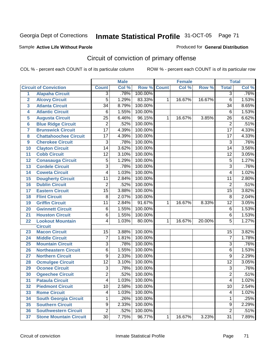#### Sample **Active Life Without Parole**

Produced for **General Distribution**

# Circuit of conviction of primary offense

|                         |                               | <b>Male</b>     |       | <b>Female</b> |              |        | <b>Total</b> |                 |       |
|-------------------------|-------------------------------|-----------------|-------|---------------|--------------|--------|--------------|-----------------|-------|
|                         | <b>Circuit of Conviction</b>  | <b>Count</b>    | Col % | Row %         | <b>Count</b> | Col %  | Row %        | <b>Total</b>    | Col % |
| 1                       | <b>Alapaha Circuit</b>        | $\overline{3}$  | .78%  | 100.00%       |              |        |              | $\overline{3}$  | .76%  |
| $\overline{2}$          | <b>Alcovy Circuit</b>         | 5               | 1.29% | 83.33%        | 1            | 16.67% | 16.67%       | $\overline{6}$  | 1.53% |
| $\overline{\mathbf{3}}$ | <b>Atlanta Circuit</b>        | $\overline{34}$ | 8.79% | 100.00%       |              |        |              | 34              | 8.65% |
| 4                       | <b>Atlantic Circuit</b>       | 6               | 1.55% | 100.00%       |              |        |              | 6               | 1.53% |
| 5                       | <b>Augusta Circuit</b>        | $\overline{25}$ | 6.46% | 96.15%        | $\mathbf 1$  | 16.67% | 3.85%        | 26              | 6.62% |
| $6\phantom{1}6$         | <b>Blue Ridge Circuit</b>     | $\overline{2}$  | .52%  | 100.00%       |              |        |              | $\overline{2}$  | .51%  |
| 7                       | <b>Brunswick Circuit</b>      | $\overline{17}$ | 4.39% | 100.00%       |              |        |              | $\overline{17}$ | 4.33% |
| 8                       | <b>Chattahoochee Circuit</b>  | 17              | 4.39% | 100.00%       |              |        |              | 17              | 4.33% |
| $\boldsymbol{9}$        | <b>Cherokee Circuit</b>       | 3               | .78%  | 100.00%       |              |        |              | $\overline{3}$  | .76%  |
| 10                      | <b>Clayton Circuit</b>        | 14              | 3.62% | 100.00%       |              |        |              | 14              | 3.56% |
| 11                      | <b>Cobb Circuit</b>           | $\overline{12}$ | 3.10% | 100.00%       |              |        |              | $\overline{12}$ | 3.05% |
| 12                      | <b>Conasauga Circuit</b>      | 5               | 1.29% | 100.00%       |              |        |              | 5               | 1.27% |
| 13                      | <b>Cordele Circuit</b>        | 3               | .78%  | 100.00%       |              |        |              | $\overline{3}$  | .76%  |
| 14                      | <b>Coweta Circuit</b>         | 4               | 1.03% | 100.00%       |              |        |              | 4               | 1.02% |
| 15                      | <b>Dougherty Circuit</b>      | 11              | 2.84% | 100.00%       |              |        |              | 11              | 2.80% |
| 16                      | <b>Dublin Circuit</b>         | 2               | .52%  | 100.00%       |              |        |              | $\overline{2}$  | .51%  |
| 17                      | <b>Eastern Circuit</b>        | $\overline{15}$ | 3.88% | 100.00%       |              |        |              | 15              | 3.82% |
| 18                      | <b>Flint Circuit</b>          | 8               | 2.07% | 100.00%       |              |        |              | 8               | 2.04% |
| 19                      | <b>Griffin Circuit</b>        | 11              | 2.84% | 91.67%        | 1            | 16.67% | 8.33%        | $\overline{12}$ | 3.05% |
| 20                      | <b>Gwinnett Circuit</b>       | 6               | 1.55% | 100.00%       |              |        |              | 6               | 1.53% |
| 21                      | <b>Houston Circuit</b>        | 6               | 1.55% | 100.00%       |              |        |              | $\overline{6}$  | 1.53% |
| 22                      | <b>Lookout Mountain</b>       | 4               | 1.03% | 80.00%        | $\mathbf 1$  | 16.67% | 20.00%       | 5               | 1.27% |
|                         | <b>Circuit</b>                |                 |       |               |              |        |              |                 |       |
| 23                      | <b>Macon Circuit</b>          | 15              | 3.88% | 100.00%       |              |        |              | 15              | 3.82% |
| 24                      | <b>Middle Circuit</b>         | $\overline{7}$  | 1.81% | 100.00%       |              |        |              | $\overline{7}$  | 1.78% |
| 25                      | <b>Mountain Circuit</b>       | 3               | .78%  | 100.00%       |              |        |              | 3               | .76%  |
| 26                      | <b>Northeastern Circuit</b>   | 6               | 1.55% | 100.00%       |              |        |              | 6               | 1.53% |
| 27                      | <b>Northern Circuit</b>       | 9               | 2.33% | 100.00%       |              |        |              | 9               | 2.29% |
| 28                      | <b>Ocmulgee Circuit</b>       | $\overline{12}$ | 3.10% | 100.00%       |              |        |              | $\overline{12}$ | 3.05% |
| 29                      | <b>Oconee Circuit</b>         | 3               | .78%  | 100.00%       |              |        |              | $\overline{3}$  | .76%  |
| 30                      | <b>Ogeechee Circuit</b>       | $\overline{2}$  | .52%  | 100.00%       |              |        |              | $\overline{2}$  | .51%  |
| 31                      | <b>Pataula Circuit</b>        | 4               | 1.03% | 100.00%       |              |        |              | $\overline{4}$  | 1.02% |
| 32                      | <b>Piedmont Circuit</b>       | 10              | 2.58% | 100.00%       |              |        |              | 10              | 2.54% |
| 33                      | <b>Rome Circuit</b>           | 4               | 1.03% | 100.00%       |              |        |              | 4               | 1.02% |
| 34                      | <b>South Georgia Circuit</b>  | 1               | .26%  | 100.00%       |              |        |              | 1               | .25%  |
| 35                      | <b>Southern Circuit</b>       | 9               | 2.33% | 100.00%       |              |        |              | 9               | 2.29% |
| 36                      | <b>Southwestern Circuit</b>   | $\overline{2}$  | .52%  | 100.00%       |              |        |              | $\overline{2}$  | .51%  |
| 37                      | <b>Stone Mountain Circuit</b> | 30              | 7.75% | 96.77%        | $\mathbf 1$  | 16.67% | 3.23%        | 31              | 7.89% |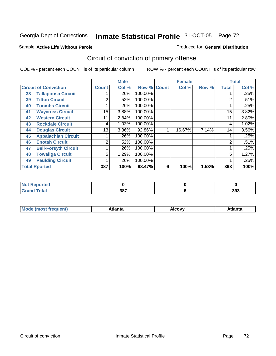#### Sample **Active Life Without Parole**

### Produced for **General Distribution**

# Circuit of conviction of primary offense

|    |                              |                | <b>Male</b> |                    |   | <b>Female</b> |       |              | <b>Total</b> |
|----|------------------------------|----------------|-------------|--------------------|---|---------------|-------|--------------|--------------|
|    | <b>Circuit of Conviction</b> | <b>Count</b>   | Col %       | <b>Row % Count</b> |   | Col %         | Row % | <b>Total</b> | Col %        |
| 38 | <b>Tallapoosa Circuit</b>    |                | .26%        | 100.00%            |   |               |       |              | .25%         |
| 39 | <b>Tifton Circuit</b>        | 2              | .52%        | 100.00%            |   |               |       | 2            | .51%         |
| 40 | <b>Toombs Circuit</b>        |                | .26%        | 100.00%            |   |               |       |              | .25%         |
| 41 | <b>Waycross Circuit</b>      | 15             | 3.88%       | 100.00%            |   |               |       | 15           | 3.82%        |
| 42 | <b>Western Circuit</b>       | 11             | 2.84%       | 100.00%            |   |               |       | 11           | 2.80%        |
| 43 | <b>Rockdale Circuit</b>      | 4              | 1.03%       | 100.00%            |   |               |       | 4            | 1.02%        |
| 44 | <b>Douglas Circuit</b>       | 13             | $3.36\%$    | 92.86%             |   | 16.67%        | 7.14% | 14           | 3.56%        |
| 45 | <b>Appalachian Circuit</b>   |                | .26%        | 100.00%            |   |               |       |              | .25%         |
| 46 | <b>Enotah Circuit</b>        | $\overline{2}$ | .52%        | 100.00%            |   |               |       | 2            | .51%         |
| 47 | <b>Bell-Forsyth Circuit</b>  |                | .26%        | 100.00%            |   |               |       |              | .25%         |
| 48 | <b>Towaliga Circuit</b>      | 5              | 1.29%       | 100.00%            |   |               |       | 5            | 1.27%        |
| 49 | <b>Paulding Circuit</b>      |                | .26%        | 100.00%            |   |               |       | 4            | .25%         |
|    | <b>Total Rported</b>         | 387            | 100%        | 98.47%             | 6 | 100%          | 1.53% | 393          | 100%         |

| <b>NOT Reported</b> |     |     |
|---------------------|-----|-----|
| νιαι                | 387 | 393 |

| $M_{\Omega}$<br>ann | <b>\tlanta</b> | Alcovv | . |
|---------------------|----------------|--------|---|
|                     |                |        |   |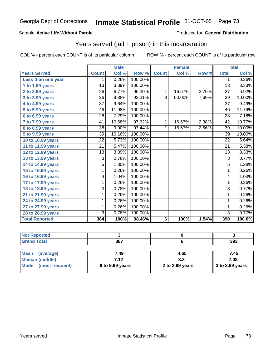#### Sample **Active Life Without Parole**

#### Produced for **General Distribution**

## Years served (jail + prison) in this incarceration

|                       |                 | <b>Male</b>               |         |                | <b>Female</b> |       |                 | <b>Total</b>               |
|-----------------------|-----------------|---------------------------|---------|----------------|---------------|-------|-----------------|----------------------------|
| <b>Years Served</b>   | <b>Count</b>    | $\overline{\text{Col}}$ % | Row %   | <b>Count</b>   | Col %         | Row % | <b>Total</b>    | $\overline{\text{Col }^9}$ |
| Less than one year    | 1               | 0.26%                     | 100.00% |                |               |       | 1               | 0.26%                      |
| 1 to 1.99 years       | 13              | 3.39%                     | 100.00% |                |               |       | 13              | 3.33%                      |
| 2 to 2.99 years       | 26              | 6.77%                     | 96.30%  | 1              | 16.67%        | 3.70% | 27              | 6.92%                      |
| 3 to 3.99 years       | $\overline{36}$ | 9.38%                     | 92.31%  | $\overline{3}$ | 50.00%        | 7.69% | 39              | 10.00%                     |
| 4 to 4.99 years       | $\overline{37}$ | 9.64%                     | 100.00% |                |               |       | $\overline{37}$ | 9.49%                      |
| 5 to 5.99 years       | $\overline{46}$ | 11.98%                    | 100.00% |                |               |       | 46              | 11.79%                     |
| 6 to 6.99 years       | 28              | 7.29%                     | 100.00% |                |               |       | 28              | 7.18%                      |
| 7 to 7.99 years       | 41              | 10.68%                    | 97.62%  | 1              | 16.67%        | 2.38% | 42              | 10.77%                     |
| 8 to 8.99 years       | 38              | 9.90%                     | 97.44%  | 1              | 16.67%        | 2.56% | 39              | 10.00%                     |
| 9 to 9.99 years       | 39              | 10.16%                    | 100.00% |                |               |       | 39              | 10.00%                     |
| 10 to 10.99 years     | $\overline{22}$ | $\overline{5.73\%}$       | 100.00% |                |               |       | $\overline{22}$ | 5.64%                      |
| 11 to 11.99 years     | $\overline{21}$ | 5.47%                     | 100.00% |                |               |       | $\overline{21}$ | 5.38%                      |
| 12 to 12.99 years     | $\overline{13}$ | 3.39%                     | 100.00% |                |               |       | $\overline{13}$ | 3.33%                      |
| 13 to 13.99 years     | 3               | 0.78%                     | 100.00% |                |               |       | $\overline{3}$  | 0.77%                      |
| 14 to 14.99 years     | 5               | 1.30%                     | 100.00% |                |               |       | $\overline{5}$  | 1.28%                      |
| 15 to 15.99 years     | 1               | 0.26%                     | 100.00% |                |               |       | 1               | 0.26%                      |
| 16 to 16.99 years     | 4               | 1.04%                     | 100.00% |                |               |       | 4               | 1.03%                      |
| 17 to 17.99 years     | $\overline{1}$  | 0.26%                     | 100.00% |                |               |       | $\overline{1}$  | 0.26%                      |
| 18 to 18.99 years     | 3               | 0.78%                     | 100.00% |                |               |       | $\overline{3}$  | 0.77%                      |
| 21 to 21.99 years     | 1               | 0.26%                     | 100.00% |                |               |       | 1               | 0.26%                      |
| 24 to 24.99 years     | 1               | 0.26%                     | 100.00% |                |               |       | 1               | 0.26%                      |
| 27 to 27.99 years     | 1               | 0.26%                     | 100.00% |                |               |       | 1               | 0.26%                      |
| 28 to 28.99 years     | 3               | 0.78%                     | 100.00% |                |               |       | $\overline{3}$  | 0.77%                      |
| <b>Total Reported</b> | 384             | 100%                      | 98.46%  | 6              | 100%          | 1.54% | 390             | 100.0%                     |

| <b>Not Reported</b>      |      |      |      |
|--------------------------|------|------|------|
| <b>Grand Total</b>       | 387  |      | 393  |
|                          |      |      |      |
| <b>Mean</b><br>(average) | 7.49 | 4.65 | 7.45 |
| <b>Median (middle)</b>   | 7.12 | 3.3  | 7.08 |

| Median (middle)         | 7.12            | J.J             | 7.08              |  |
|-------------------------|-----------------|-----------------|-------------------|--|
| Mode<br>(most frequent) | 9 to 9.99 years | 2 to 2.99 years | $3$ to 3.99 years |  |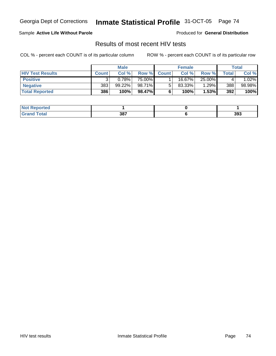### Sample **Active Life Without Parole**

Produced for **General Distribution**

## Results of most recent HIV tests

|                         |              | <b>Male</b> |        |                | <b>Female</b> |          |       | Total  |
|-------------------------|--------------|-------------|--------|----------------|---------------|----------|-------|--------|
| <b>HIV Test Results</b> | <b>Count</b> | Col %       | Row %  | <b>Count</b> Ⅰ | Col %         | Row %    | Total | Col %  |
| <b>Positive</b>         |              | 0.78%       | 75.00% |                | 16.67%        | 25.00%   |       | .02%   |
| <b>Negative</b>         | 383          | 99.22%      | 98.71% |                | $83.33\%$     | $1.29\%$ | 388   | 98.98% |
| <b>Total Reported</b>   | 386          | 100%        | 98.47% |                | 100%          | 1.53%    | 392   | 100%   |

| <b>Not Reported</b>  |     |     |
|----------------------|-----|-----|
| <b>Total</b><br>Gran | 387 | 393 |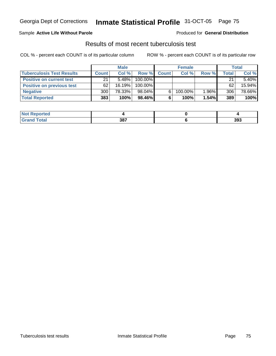### Sample **Active Life Without Parole**

#### Produced for **General Distribution**

## Results of most recent tuberculosis test

|                                  |              | <b>Male</b> |           |              | <b>Female</b> |       |       | Total    |
|----------------------------------|--------------|-------------|-----------|--------------|---------------|-------|-------|----------|
| <b>Tuberculosis Test Results</b> | <b>Count</b> | Col%        | Row %     | <b>Count</b> | Col %         | Row % | Total | Col %    |
| <b>Positive on current test</b>  | 21           | $5.48\%$    | 100.00%   |              |               |       | 21    | $5.40\%$ |
| <b>Positive on previous test</b> | 62           | $16.19\%$   | 100.00%   |              |               |       | 62    | 15.94%   |
| <b>Negative</b>                  | 300          | 78.33%      | 98.04%    | 6.           | 100.00%       | 1.96% | 306   | 78.66%   |
| <b>Total Reported</b>            | 383          | 100%        | $98.46\%$ |              | 100%          | 1.54% | 389   | 100%     |

| <b>Not Reported</b> |     |     |
|---------------------|-----|-----|
| <b>Total</b>        | 387 | 393 |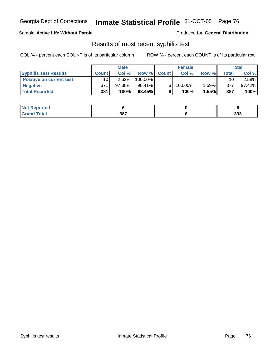### Sample **Active Life Without Parole**

Produced for **General Distribution**

### Results of most recent syphilis test

|                                 |              | <b>Male</b> |         |             | <b>Female</b> |       |       | Total     |
|---------------------------------|--------------|-------------|---------|-------------|---------------|-------|-------|-----------|
| <b>Syphilis Test Results</b>    | <b>Count</b> | Col%        |         | Row % Count | Col%          | Row % | Total | Col %     |
| <b>Positive on current test</b> | 10           | $2.62\%$    | 100.00% |             |               |       | 10    | 2.58%     |
| <b>Negative</b>                 | 371          | 97.38%      | 98.41%  |             | 100.00%       | 1.59% | 377   | $97.42\%$ |
| <b>Total Reported</b>           | 381          | 100%        | 98.45%  |             | 100%          | 1.55% | 387   | 100%      |

| <b>Not Reported</b>   |     |     |
|-----------------------|-----|-----|
| <b>Total</b><br>Grand | 387 | 393 |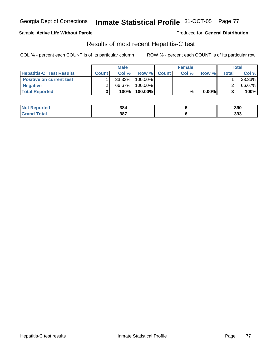### Sample **Active Life Without Parole**

Produced for **General Distribution**

## Results of most recent Hepatitis-C test

|                                 |              | <b>Male</b> |         |             | <b>Female</b> |          |         | Total  |
|---------------------------------|--------------|-------------|---------|-------------|---------------|----------|---------|--------|
| <b>Hepatitis-C Test Results</b> | <b>Count</b> | Col %       |         | Row % Count | Col %         | Row %    | Total I | Col %  |
| <b>Positive on current test</b> |              | 33.33%      | 100.00% |             |               |          |         | 33.33% |
| <b>Negative</b>                 |              | 66.67%      | 100.00% |             |               |          |         | 66.67% |
| <b>Total Reported</b>           |              | 100%        | 100.00% |             | %             | $0.00\%$ |         | 100%   |

| <b>Not Reported</b>   | 384 | 390 |
|-----------------------|-----|-----|
| <b>Total</b><br>Grand | 387 | 393 |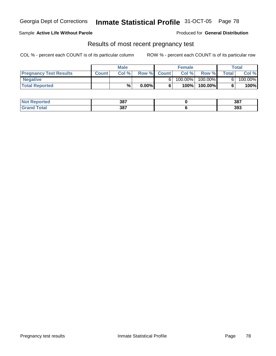### Sample **Active Life Without Parole**

Produced for **General Distribution**

## Results of most recent pregnancy test

|                               | <b>Male</b>  |      |          | <b>Female</b> |            |            | Total        |         |
|-------------------------------|--------------|------|----------|---------------|------------|------------|--------------|---------|
| <b>Pregnancy Test Results</b> | <b>Count</b> | Col% |          | Row % Count   | Col %      | Row %      | <b>Total</b> | Col %   |
| ' Negative                    |              |      |          |               | $100.00\%$ | $100.00\%$ |              | 100.00% |
| <b>Total Reported</b>         |              | %    | $0.00\%$ |               | 100%       | 100.00%    |              | 100%    |

| <b>Not Reported</b>    | 387 | 387 |
|------------------------|-----|-----|
| <b>Total</b><br>. Grar | 387 | 393 |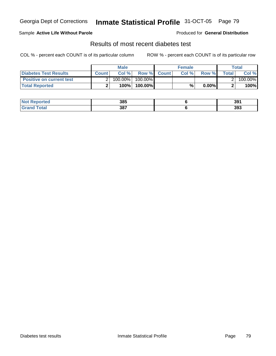### Sample **Active Life Without Parole**

Produced for **General Distribution**

## Results of most recent diabetes test

|                                 |       | <b>Male</b> |                    | <b>Female</b> |          |         | Total   |
|---------------------------------|-------|-------------|--------------------|---------------|----------|---------|---------|
| Diabetes Test Results           | Count | Col %       | <b>Row % Count</b> | Col %         | Row %    | Total l | Col %   |
| <b>Positive on current test</b> |       | 100.00%     | 100.00% I          |               |          |         | 100.00% |
| <b>Total Reported</b>           |       | 100%        | 100.00%            | %             | $0.00\%$ |         | 100%    |

| <b>Not</b><br><b>Reported</b> | 385 | 391 |
|-------------------------------|-----|-----|
| <b>fotal</b>                  | 387 | 393 |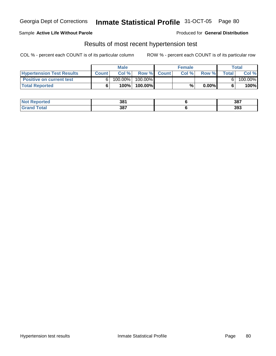### Sample **Active Life Without Parole**

Produced for **General Distribution**

## Results of most recent hypertension test

|                                  |              | <b>Male</b> |            |             | <b>Female</b> |          |              | Total   |
|----------------------------------|--------------|-------------|------------|-------------|---------------|----------|--------------|---------|
| <b>Hypertension Test Results</b> | <b>Count</b> | Col%        |            | Row % Count | Col%          | Row %    | <b>Total</b> | Col %   |
| <b>Positive on current test</b>  |              | $100.00\%$  | $100.00\%$ |             |               |          |              | 100.00% |
| <b>Total Reported</b>            |              | 100%        | 100.00%    |             | %             | $0.00\%$ |              | 100%    |

| enorted | 381 | 387 |
|---------|-----|-----|
| Гоtа    | 387 | 393 |